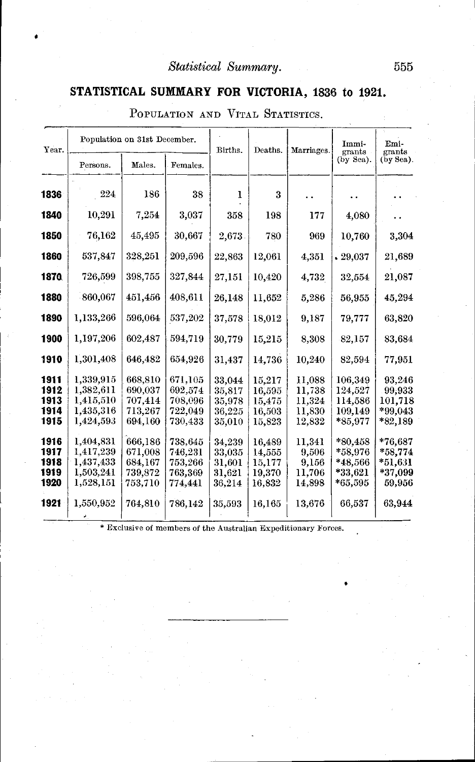### **STATISTICAL SUMMARY FOR VICTORIA, 1836 to 1921.**

| Year.        |                        | Population on 31st December.<br>Males.<br>Females.<br>Persons. |                    |                      | Deaths.          | Marriages.       | Immi-<br>grants<br>(by Sea). | Emi-<br>grants<br>(by Sea). |
|--------------|------------------------|----------------------------------------------------------------|--------------------|----------------------|------------------|------------------|------------------------------|-----------------------------|
|              |                        |                                                                |                    |                      |                  |                  |                              |                             |
|              |                        |                                                                |                    |                      |                  |                  |                              |                             |
| 1836         | 224                    | 186                                                            | 38                 | 1                    | 3                |                  |                              |                             |
| 1840         | 10,291                 | 7,254                                                          | 3,037              | 358                  | 198              | 177              | 4,080                        |                             |
|              |                        |                                                                |                    |                      |                  |                  |                              |                             |
| 1850         | 76,162                 | 45,495                                                         | 30,667             | 2,673                | 780              | 969              | 10,760                       | 3,304                       |
| 1860         | 537,847                | 328.251                                                        | 209,596            | 22,863               | 12,061           | 4,351            | $\boldsymbol{.}\, 29.037$    | 21,689                      |
| 1870.        | 726,599                | 398,755                                                        | 327,844            | 27,151               | 10,420           | 4,732            | 32,554                       | 21,087                      |
| 1880         | 860,067                | 451,456                                                        | 408,611            | 26,148               | 11,652           | 5,286            | 56,955                       | 45,294                      |
| 1890         | 1,133,266              | 596,064                                                        | 537,202            | 37,578               | 18,012           | 9,187            | 79,777                       | 63,820                      |
| 1900         | 1,197,206              | 602,487                                                        | 594,719            | 30,779               | 15,215           | 8,308            | 82,157                       | 83,684                      |
| 1910         | 1,301,408              | 646,482                                                        | 654,926            | 31,437               | 14,736           | 10,240           | 82,594                       | 77,951                      |
| 1911         | 1,339,915              | 668,810                                                        | 671,105            | 33,044               | 15,217           | 11,088           | 106,349                      | 93,246                      |
| 1912         | 1,382,611              | 690,037                                                        | 692,574            | 35,817               | 16,595           | 11,738           | 124,527                      | 99,933                      |
| 1913         | 1,415,510              | 707,414                                                        | 708,096            | 35,978               | 15,475           | 11,324           | 114,586                      | 101,718                     |
| 1914<br>1915 | 1,435,316<br>1,424,593 | 713,267<br>694,160                                             | 722,049<br>730,433 | 36,225<br>$35{,}010$ | 16,503<br>15,823 | 11,830<br>12,832 | 109,149<br>*85,977           | $*99.043$<br>*82,189        |
|              |                        |                                                                |                    |                      |                  |                  |                              |                             |
| 1916         | 1,404,831              | 666,186                                                        | 738,645            | 34,239               | 16.489           | 11,341           | $*80,458$                    | *76.687                     |
| 1917         | 1,417,239              | 671,008                                                        | 746,231            | 33,035               | 14,555           | 9,506            | $*58.976$                    | *58,774                     |
| 1918         | 1,437,433              | 684,167                                                        | 753,266            | 31,601               | 15.177           | 9,156            | *48,566                      | $*51,631$                   |
| 1919         | 1,503,241              | 739,872                                                        | 763,369            | 31.621               | 19,370           | 11,706           | $*33,621$                    | *37,099                     |
| 1920         | 1,528,151              | 753,710                                                        | 774,441            | 36,214               | 16.832           | 14,898           | *65,595                      | 59,956                      |
| 1921         | 1,550,952              | 764,810                                                        | 786,142            | 35,593               | 16,165           | 13,676           | 66,537                       | 63,944                      |
|              |                        |                                                                |                    |                      |                  |                  |                              |                             |

POPULATION AND VITAL STATISTICS.

\* Exclusive of members of the Australian Expeditionary Forces.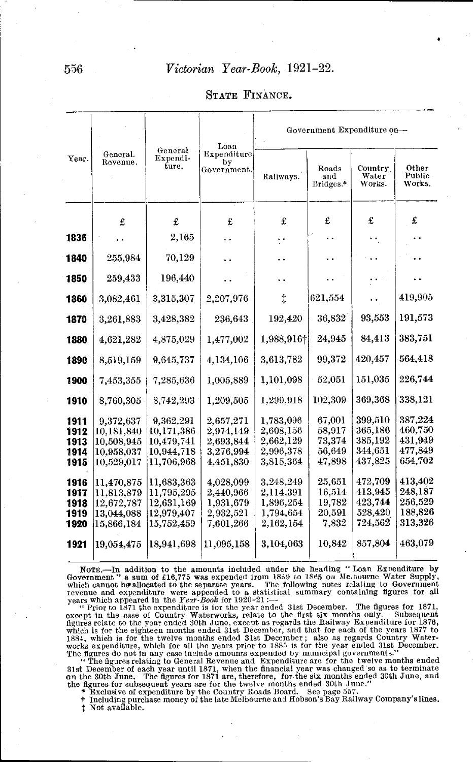STATE FINANCE.

|              |                          |                              | Loan                             | Government Expenditure on- |                           |                            |                           |  |
|--------------|--------------------------|------------------------------|----------------------------------|----------------------------|---------------------------|----------------------------|---------------------------|--|
| Year.        | General.<br>Revenue.     | General<br>Expendi-<br>ture. | Expenditure<br>by<br>Government. | Railways.                  | Roads<br>and<br>Bridges.* | Country<br>Water<br>Works. | Other<br>Public<br>Works. |  |
|              | £                        | £                            | £                                | £                          | £                         | £                          | £                         |  |
| 1836         |                          | 2,165                        |                                  |                            |                           |                            |                           |  |
| 1840         | 255,984                  | 70,129                       |                                  |                            | . .                       |                            |                           |  |
| 1850         | 259,433                  | 196,440                      |                                  |                            |                           |                            |                           |  |
| 1860         | 3,082,461                | 3,315,307                    | 2,207,976                        | $\ddagger$                 | 621,554                   |                            | 419,905                   |  |
| 1870         | 3,261,883                | 3,428,382                    | 236,643                          | 192,420                    | 36,832                    | 93,553                     | 191,573                   |  |
| 1880         | 4,621,282                | 4,875,029                    | 1,477,002                        | 1,988,916+                 | 24,945                    | 84,413                     | 383,751                   |  |
| 1890         | 8,519,159                | 9,645,737                    | 4,134,106                        | 3,613,782                  | 99,372                    | 420,457                    | 564,418                   |  |
| 1900         | 7,453,355                | 7,285,636                    | 1,005,889                        | 1,101,098                  | 52,051                    | 151,035                    | 226,744                   |  |
| 1910         | 8,760,305                | 8,742,293                    | 1,209,505                        | 1,299,918                  | 102,309                   | 369,368                    | 338,121                   |  |
| 1911         | 9,372,637                | 9,362,291<br>10,171,386      | 2,657,271                        | 1,783,096<br>2,608,156     | 67.001<br>58,917          | 399,510<br>365,186         | 387,224<br>460,750        |  |
| 1912<br>1913 | 10,181,840<br>10,508,945 | 10,479,741                   | 2,974,149<br>2,693,844           | 2,662,129                  | 73,374                    | 385,192                    | 431,949                   |  |
| 1914         | 10,958,037               | 10,944,718                   | 3,276,994                        | 2,996,378                  | 56,649                    | 344,651                    | 477,849                   |  |
| 1915         | 10,529,017               | 11,706,968                   | 4,451,830                        | 3,815,364                  | 47.898                    | 437,825                    | 654.702                   |  |
| 1916         | 11,470,875               | 11,683,363                   | 4,028,099                        | 3,248,249                  | 25,651                    | 472,709                    | 413,402                   |  |
| 1917         | 11,813,879               | 11,795,295                   | 2,440,966                        | 2,114,391                  | 16,514                    | 413,945                    | 248,187                   |  |
| 1918         | 12,672,787               | 12,631,169                   | 1,931,679                        | 1.896,254                  | 19.782                    | 423,744                    | 256,529                   |  |
| 1919         | 13,044,088               | 12,979,407                   | 2,932,521                        | 1,794,654                  | 20,591                    | 528,420                    | 188,826                   |  |
| 1920         | 15,866,184               | 15,752,459                   | 7,601,266                        | 2,162,154                  | 7.832                     | 724.562                    | 313,326                   |  |
| 1921         | 19,054,475               | 18,941,698                   | 11.095.158                       | 3,104,063                  | 10,842                    | 857,804                    | 463,079                   |  |

NOTE.—In addition to the amounts included under the heading "Loan Exrenditure by Government" a sum of f16,775 was expended from 1859 to 1865 on Me.bourne Water Supply, which cannot be allocated to the separate years. The

except in the case of Country Waterworks, relate to the first six months only. Subsequent figures relate to the year ended 30th June, except as regards the Railway Expenditure for 1876, which is for the eighteen months en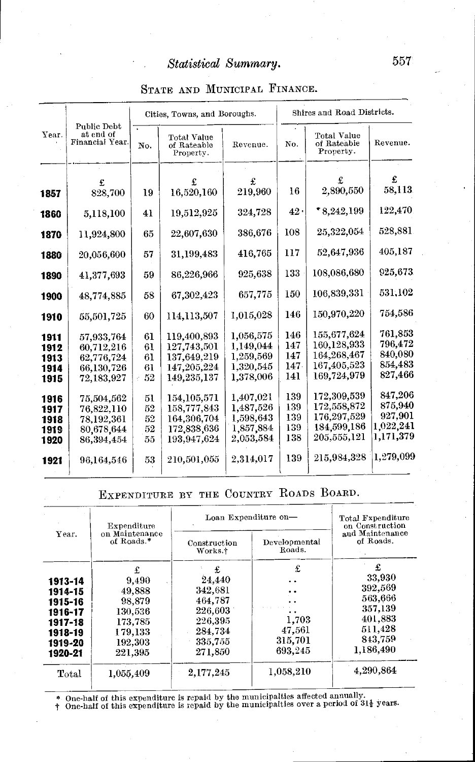|              |                                             |     | Cities, Towns, and Boroughs.            |           | Shires and Road Districts. |                                         |                 |  |
|--------------|---------------------------------------------|-----|-----------------------------------------|-----------|----------------------------|-----------------------------------------|-----------------|--|
| Year.        | Public Debt<br>at end of<br>Financial Year. | No. | Total Value<br>of Rateable<br>Property. | Revenue.  | No.                        | Total Value<br>of Rateable<br>Property. | Revenue.        |  |
|              |                                             |     |                                         |           |                            |                                         |                 |  |
|              | £                                           |     |                                         | £         |                            |                                         | £               |  |
| 1857         | 828,700                                     | 19  | 16,520,160                              | 219,960   | 16                         | 2,890,550                               | 58,113          |  |
| 1860         | 5,118,100                                   | 41  | 19,512,925                              | 324,728   | 42.                        | $*8,242,199$                            | 122,470         |  |
| 1870         | 11,924,800                                  | 65  | 22,607,630                              | 386,676   | 108                        | 25,322,054                              | 528,881         |  |
| 1880         | 20,056,600                                  | 57  | 31,199,483                              | 416,765   | 117                        | 52.647.936                              | 405,187         |  |
| 1890         | 41,377,693                                  | 59  | 86,226,966                              | 925,638   | 133                        | 108,086,680                             | 925,673         |  |
| 1900         | 48,774,885                                  | 58  | 67,302,423                              | 657,775   | 150                        | 106,839,331                             | 531,102         |  |
| 1910         | 55,501,725                                  | 60  | 114,113,507                             | 1,015,028 | 146                        | 150,970,220                             | 754,586         |  |
| 1911         | 57.933.764                                  | 61  | 119,400,893                             | 1,056,575 | 146                        | 155.677.624                             | 761.853         |  |
| 1912         | 60,712,216                                  | 61  | 127,743,501                             | 1,149,044 | 147                        | 160,128,933                             | 796,472         |  |
| 1913         | 62,776,724                                  | 61  | 137,649.219                             | 1,259.569 | 147                        | 164,268,467                             | 840,080         |  |
| 1914         | 66,130,726                                  | 61  | 147.205.224                             | 1,320,545 | 147.                       | 167,405,523                             | 854,483         |  |
| 1915         | 72,183,927                                  | 52  | 149,235,137                             | 1.378.006 | 141                        | 169,724,979                             | 827,466         |  |
|              | 75,504,562                                  | 51  | 154,105,571                             | 1.407.021 | 139                        | 172,309,539                             | 847,206         |  |
| 1916<br>1917 | 76,822,110                                  | 52  | 158,777,843                             | 1,487,526 | 139                        | 172,558,872                             | 875,940         |  |
| 1918         | 78,192,361                                  | 52  | 164,306,704                             | 1.598,643 | 139                        | 176,297,529                             | 927,901         |  |
| 1919         | 80.678.644                                  | 52  | 172,838,636                             | 1,857,884 | 139                        | 184,599,186                             | $1{,}022{,}241$ |  |
| 1920         | 86,394,454                                  | 55  | 193.947.624                             | 2,053,584 | 138                        | $205{,}555{,}121$                       | 1.171.379       |  |
| 1921         | 96,164,546                                  | 53  | 210,501,055                             | 2,314,017 | 139                        | 215,984,328                             | 1,279,099       |  |

#### STATE AND MUNICIPAL FINANCE.

EXPENDITURE BY THE COUNTRY ROADS BOARD.

| Total Expenditure<br>on Construction |  |
|--------------------------------------|--|
| and Maintenance<br>of Roads.         |  |
| £                                    |  |
| 33,930                               |  |
| 392,569                              |  |
| 563,666                              |  |
| 357,139                              |  |
| 401.883                              |  |
| 511.428                              |  |
| 843,759                              |  |
| 1,186,490                            |  |
| 4.290.864                            |  |
|                                      |  |

\* One-half of this expenditure is repaid by the municipalties affected annually.<br>† One-half of this expenditure is repaid by the municipalties over a period of  $31\frac{1}{2}$  years.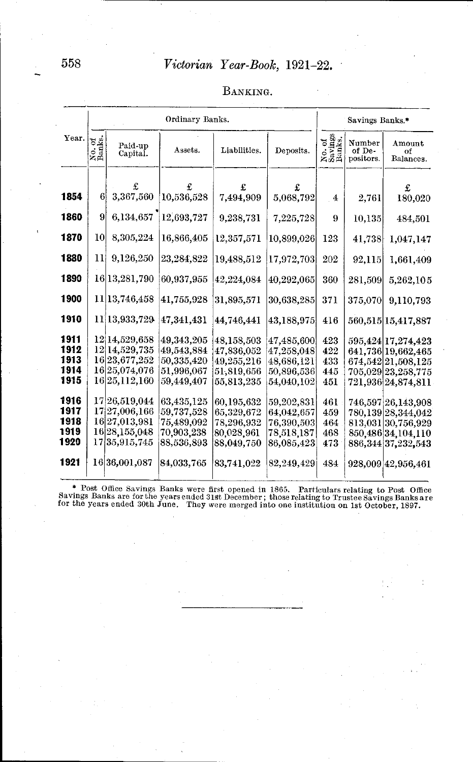|                                      |                  |                                                                                           | Ordinary Banks.                                                    |                                                                    |                                                                    |                                 | Savings Banks.*               |                                                                                                               |
|--------------------------------------|------------------|-------------------------------------------------------------------------------------------|--------------------------------------------------------------------|--------------------------------------------------------------------|--------------------------------------------------------------------|---------------------------------|-------------------------------|---------------------------------------------------------------------------------------------------------------|
| Year.                                | No. of<br>Banks. | Paid-up<br>Capital.                                                                       | Assets.                                                            | Liabilities.                                                       | Deposits.                                                          | No. of<br>Savings<br>Banks.     | Number<br>of De-<br>positors. | Amount<br>of<br>Balances.                                                                                     |
| 1854                                 | 6 <sup>1</sup>   | 3,367,560                                                                                 | 10,536,528                                                         | £<br>7,494,909                                                     | £<br>5,068,792                                                     | $\overline{4}$                  | 2,761                         | £<br>180,020                                                                                                  |
| 1860                                 | 9                | 6,134,657                                                                                 | 12,693,727                                                         | 9,238,731                                                          | 7,225,728                                                          | 9                               | 10,135                        | 484,501                                                                                                       |
| 1870                                 | 10               | 8,305,224                                                                                 | 16,866,405                                                         | 12,357,571                                                         | 10,899,026                                                         | 123                             | 41,738                        | 1,047,147                                                                                                     |
| 1880                                 | 11               | 9,126,250                                                                                 | 23,284,822                                                         | 19,488,512                                                         | 17,972,703                                                         | 202                             | 92.115                        | 1,661,409                                                                                                     |
| 1890                                 |                  | 16 13, 281, 790                                                                           | 60,937,955                                                         | 42,224,084                                                         | 40,292,065                                                         | 360                             | 281,509                       | 5,262,105                                                                                                     |
| 1900                                 |                  | 11 13, 746, 458                                                                           | 41,755,928                                                         | 31,895,571                                                         | 30,638,285                                                         | 371                             | 375,070                       | 9,110,793                                                                                                     |
| 1910                                 |                  | 11 13.933,729                                                                             | 47,341,431                                                         | 44,746,441                                                         | 43,188,975                                                         | 416                             |                               | 560,515 15,417,887                                                                                            |
| 1911<br>1912<br>1913<br>1914<br>1915 |                  | 12 14,529,658<br>12 14, 529, 735<br>16 23, 677, 252<br>16 25, 074, 076<br>16 25, 112, 160 | 49.343.205<br>49,543,884<br>50,335,420<br>51,996,067<br>59,449,407 | 48,158,503<br>47.836.052<br>49,255,216<br>51,819,656<br>55,813,235 | 47.485,600<br>47,258,048<br>48.686.121<br>50,896,536<br>54,040,102 | 423<br>422<br>433<br>445<br>451 |                               | 595,424 17,274,423<br>641,736 19,662,465<br>674,542 21,508,125<br>705,029 23,258,775<br>721,936 24,874,811    |
| 1916<br>1917<br>1918<br>1919<br>1920 |                  | 17 26, 519, 044<br>17 27,006,166<br>16 27,013,981<br>16 28, 155, 048<br>17 35, 915, 745   | 63,435,125<br>59,737,528<br>75,489,092<br>70,903,238<br>88,536,893 | 60.195.632<br>65,329,672<br>78,296,932<br>80,028,961<br>88,049,750 | 59.202.831<br>64,042.657<br>76,390,503<br>78,518,187<br>86,085,423 | 461<br>459<br>464<br>468<br>473 |                               | 746,597 26,143,908<br>780,139 28,344,042<br>813,031 30,756,929<br>850,486 34,104,110<br>886, 344 37, 232, 543 |
| 1921                                 |                  | 16 36,001,087                                                                             | 84,033,765                                                         | 83,741,022                                                         | 82,249,429                                                         | 484                             |                               | 928,009 42,956,461                                                                                            |

#### BANKING.

\* Post Office Savings Banks were first opened in 1865. Particulars relating to Post Office Savings Banks are for the years ended 31st December; those relating to Trustee Savings Banks are for the years ended 30th June. The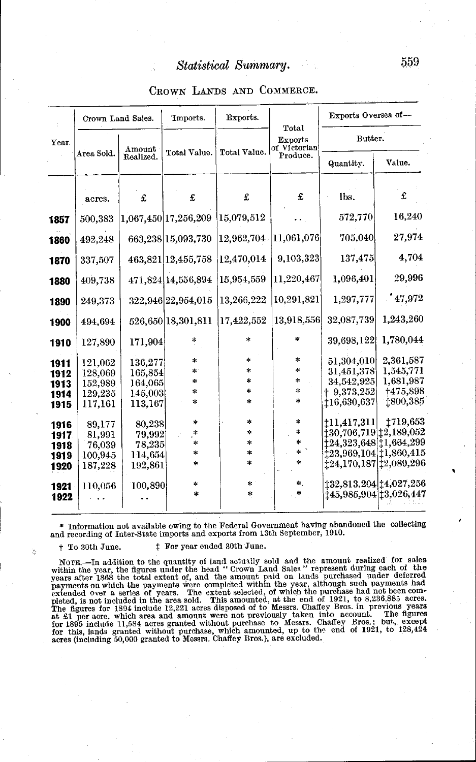|  |  |  | CROWN LANDS AND COMMERCE. |
|--|--|--|---------------------------|
|--|--|--|---------------------------|

|       |            | Crown Land Sales. | Imports.             | Exports.     | Total                     | Exports Oversea of--                         |                 |
|-------|------------|-------------------|----------------------|--------------|---------------------------|----------------------------------------------|-----------------|
| Year. | Area Sold. | Amount            | Total Value.         | Total Value. | Exports<br>of Victorian   | Butter.                                      |                 |
|       |            | Realized.         |                      |              | Produce.                  | Quantity.                                    | Value.          |
|       | acres.     | £                 | £                    | £            | £                         | lbs.                                         | £               |
| 1857  | 500,383    |                   | 1,067,450 17,256,209 | 15,079,512   |                           | 572,770                                      | 16,240          |
| 1860  | 492,248    |                   | 663,238 15,093,730   | 12.962,704   | $\left 11,061,076\right $ | 705,040                                      | 27,974          |
| 1870  | 337,507    |                   | 463,821 12,455,758   | 12,470,014   | 9.103.323                 | 137,475                                      | 4,704           |
| 1880  | 409,738    |                   | 471,824 14,556,894   | 15,954,559   | 11,220,467                | 1.096,401                                    | 29,996          |
| 1890  | 249,373    |                   | 322,946 22,954,015   | 13,266,222   | 10,291,821                | 1.297.777                                    | 147,972         |
| 1900  | 494,694    |                   | 526,650 18,301,811   | 17,422,552   | 13,918,556                | 32,087,739                                   | 1,243,260       |
| 1910  | 127,890    | 171,904           | *                    | $\star$      | $\ast$                    | 39,698,122                                   | 1,780,044       |
| 1911  | 121,062    | 136,277           | *                    | *            | $\approx$                 | 51,304,010                                   | 2.361.587       |
| 1912  | 128,069    | 165,854           | Ŵ.                   | *            | $\ast$                    | 31,451,378                                   | 1.545,771       |
| 1913  | 152,989    | 164,065           | ÷                    | *            | $\ast$                    | 34,542,925                                   | 1,681,987       |
| 1914  | 129,235    | 145,003           | $\ast$               | *            | $\mathcal{L}$             | $+9,373,252$                                 | +475,898        |
| 1915  | 117,161    | 113.167           | *.                   | *            | ÷                         | 116,630,637                                  | 1800,385        |
| 1916  | 89,177     | 80,238            | *.                   | *            | *                         | 111,417,311                                  | <b>1719,653</b> |
| 1917  | 81,991     | 79,992            | $\approx$            | $\ast$       | $\mathbbmss{}$            | 130,706,719 12,189,052                       |                 |
| 1918  | 76,039     | 78,235            | *                    | *            | $\ast$                    | $\ddagger 24.323.648\vert\ddagger 1.664.299$ |                 |
| 1919  | 100,945    | 114,654           | *                    | *            | $\star$ $^{\circ}$        | 123,969,104 11,860,415                       |                 |
| 1920  | 187,228    | 192,861           | 4                    | $\ast$       | $\star$                   | 124,170,187 12,089,296                       |                 |
| 1921  | 110.056    | 100,890           | $\ast$               | *            | ∗.                        | 132,813,204 14,027,256                       |                 |
| 1922  |            |                   | $\star$              | ∗            | *                         | t45,985,904 t3,026,447                       |                 |
|       |            |                   |                      |              |                           |                                              |                 |

\* Information not available owing to the Federal Government having abandoned the collecting and recording of Inter-State imports and exports from 13th September, 1910.

+ To 30th June. <sup>‡</sup> For year ended 30th June.

×

NOTE.—In addition to the quantity of land actually sold and the amount realized for sales<br>within the year, the figures under the head "Crown Land Sales" represent during each of the<br>years after 1868 the total extent of, a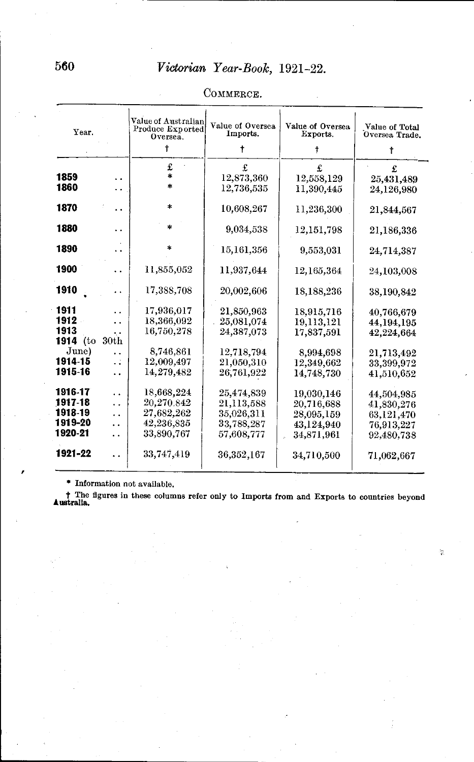| Year.            |            | Value of Australian<br>Produce Exported<br>Oversea.<br>Ť | Value of Oversea<br>Imports. | Value of Oversea<br>Exports. | Value of Total<br>Oversea Trade. |  |
|------------------|------------|----------------------------------------------------------|------------------------------|------------------------------|----------------------------------|--|
|                  |            |                                                          | t                            | t                            | t                                |  |
|                  |            | £                                                        | £                            |                              |                                  |  |
| 1859             |            | *                                                        | 12,873,360                   | 12,558,129                   | 25,431,489                       |  |
| 1860             |            |                                                          | 12,736,535                   | 11,390,445                   | 24,126,980                       |  |
| 1870             | . .        | *                                                        | 10,608,267                   | 11,236,300                   | 21,844.567                       |  |
| 1880             |            |                                                          | 9,034,538                    | 12,151,798                   | 21.186,336                       |  |
| 1890             |            |                                                          | 15,161,356                   | 9,553,031                    | 24,714,387                       |  |
| 1900             |            | 11,855,052                                               | 11,937,644                   | 12,165,364                   | 24,103,008                       |  |
| 1910             |            | 17,388,708                                               | 20,002.606                   | 18,188,236                   | 38,190,842                       |  |
| 1911             |            | 17,936.017                                               | $21{,}850{,}963$             | 18,915,716                   | 40,766,679                       |  |
| 1912             | ٠.         | 18,366,092                                               | 25,081,074                   | 19,113,121                   | 44,194,195                       |  |
| 1913<br>1914 (to | ٠.<br>30th | $16{,}750{,}278$                                         | 24,387,073                   | 17,837,591                   | 42.224.664                       |  |
| June)            | . .        | 8,746,861                                                | 12,718,794                   | 8,994,698                    | 21,713,492                       |  |
| 1914-15          | . .        | 12,009,497                                               | $21,\!050,\!310$             | 12,349,662                   | 33,399,972                       |  |
| 1915-16          | . .        | 14,279,482                                               | 26,761,922                   | 14,748,730                   | 41,510,652                       |  |
| 1916-17          | . .        | 18,668,224                                               | 25,474,839                   | 19.030.146                   | 44,504,985                       |  |
| 1917-18          | . .        | 20,270.842                                               | 21,113,588                   | 20,716,688                   | 41,830,276                       |  |
| 1918-19          | . .        | 27,682,262                                               | 35,026,311                   | 28,095,159                   | 63,121,470                       |  |
| 1919-20          | . .        | 42.236.835                                               | 33,788,287                   | 43,124,940                   | 76,913,227                       |  |
| 1920-21          | . .        | 33,890,767                                               | 57,608,777                   | 34,871,961                   | 92,480,738                       |  |
| 1921-22          |            | 33,747,419                                               | 36.352.167                   | 34,710,500                   | 71,062,667                       |  |

COMMERCE.

\* Information not available.

t The figures in these columns refer only to Imports from and Exports to countries beyond **Australia.** 

 $\widetilde{\mathcal{G}}_i$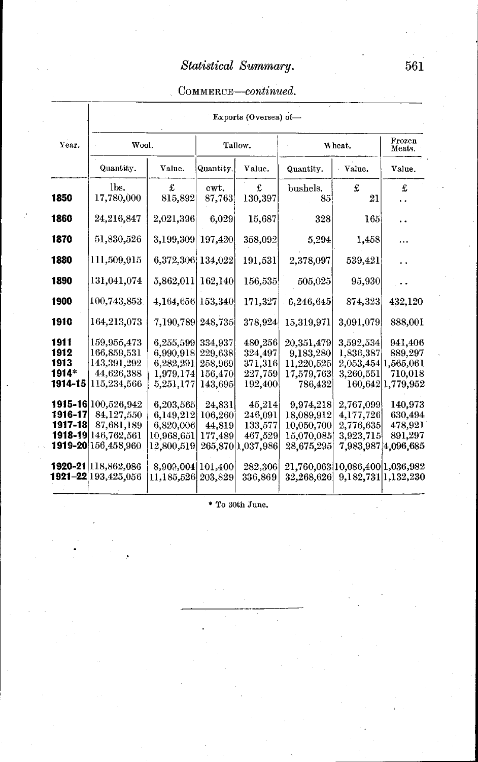### COMMERCE-continued.

|                                          | Exports (Oversea) of-                                                                           |                                                                 |                                                     |                                                              |                                                                   |                                                                   |                                                                 |  |  |  |  |
|------------------------------------------|-------------------------------------------------------------------------------------------------|-----------------------------------------------------------------|-----------------------------------------------------|--------------------------------------------------------------|-------------------------------------------------------------------|-------------------------------------------------------------------|-----------------------------------------------------------------|--|--|--|--|
| Year.                                    | Wool.                                                                                           |                                                                 |                                                     | Tallow.                                                      |                                                                   | Wheat.                                                            | Frozen<br>Meats.                                                |  |  |  |  |
|                                          | Quantity.                                                                                       | Value.                                                          | Quantity.                                           | Value.                                                       | Quantity.                                                         | Value.                                                            | Value.                                                          |  |  |  |  |
| 1850                                     | lbs.<br>17,780,000                                                                              | £<br>815,892                                                    | cwt.<br>87,763                                      | £<br>130,397                                                 | bushels.<br>85                                                    | £<br>21                                                           | £                                                               |  |  |  |  |
| 1860                                     | 24,216,847                                                                                      | 2,021,396                                                       | 6,029                                               | 15,687                                                       | 328                                                               | 165                                                               |                                                                 |  |  |  |  |
| 1870                                     | 51,830,526                                                                                      | 3.199,309                                                       | 197,420                                             | 358,092                                                      | 5,294                                                             | 1,458                                                             | .                                                               |  |  |  |  |
| 1880                                     | 111,509,915                                                                                     | 6,372,306 134,022                                               |                                                     | 191,531                                                      | 2,378,097                                                         | 539,421                                                           |                                                                 |  |  |  |  |
| 1890                                     | 131,041,074                                                                                     | 5,862,011                                                       | 162,140                                             | 156,535                                                      | 505,025                                                           | 95,930                                                            |                                                                 |  |  |  |  |
| 1900                                     | 100,743,853                                                                                     | 4,164,656 153,340                                               |                                                     | 171,327                                                      | 6.246.645                                                         | 874,323                                                           | 432,120                                                         |  |  |  |  |
| 1910                                     | 164,213,073                                                                                     | 7,190,789                                                       | 248,735                                             | 378,924                                                      | 15,319,971                                                        | 3,091,079                                                         | 888,001                                                         |  |  |  |  |
| 1911<br>1912<br>1913<br>1914*<br>1914-15 | 159,955,473<br>166,859,531<br>143,391,292<br>44,626,388<br>115,234,566                          | 6,255,599<br>6,990,918<br>6,282,291<br>1,979,174<br>5,251,177   | 334,937<br>229,638<br>258,969<br>156,470<br>143,695 | 480,256<br>324,497<br>371,316<br>227,759<br>192,400          | 20,351,479<br>9,183,280<br>11,220,525<br>17,579,763<br>786,432    | 3.592,534<br>1,836,387<br>2,053,454 1,565,061<br>3.260,551        | 941,406<br>889,297<br>710,018<br>160,642 1,779,952              |  |  |  |  |
| 1916-17<br>1917-18                       | 1915-16 100,526,942<br>84,127,550<br>87,681,189<br>1918-19 146, 762, 561<br>1919-20 156,458,960 | 6,203,565<br>6,149,212<br>6,820,006<br>10,968,651<br>12,800,519 | 24,831<br>106,260<br>44,819<br>177,489              | 45,214<br>246,091<br>133,577<br>467,529<br>265,870 1,037,986 | 9,974,218<br>18,089,912<br>10,050,700<br>15,070,085<br>28,675,295 | 2,767,099<br>4,177,726<br>2,776,635<br>3,923,715                  | 140,973<br>630,494<br>478,921<br>891,297<br>7,983,987 4,096,685 |  |  |  |  |
|                                          | <b>1920-21</b> 18,862,086<br><b>1921–22</b> 193,425,056                                         | 8,909,004 101,400<br>11,185,526 203,829                         |                                                     | 282,306<br>336,869                                           |                                                                   | 21,760,063 10,086,400 1,036,982<br>32,268,626 9,182,731 1,132,230 |                                                                 |  |  |  |  |

• To 30th June.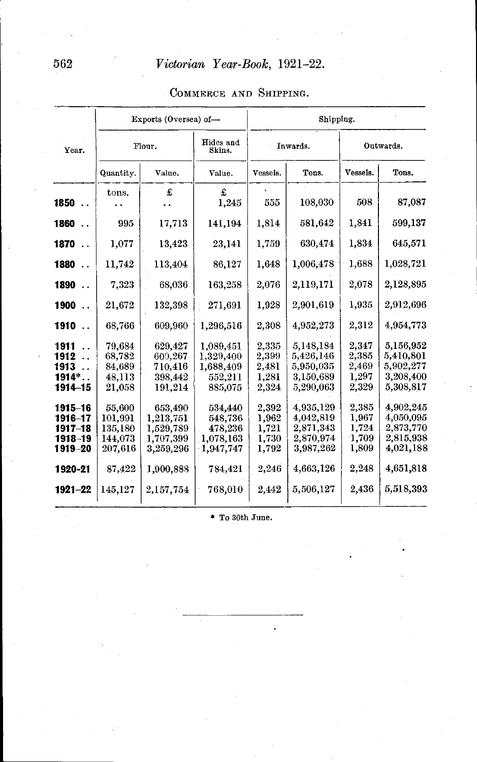### Exports (Oversea) of-<br>
Shipping. Year. Flour. Hides and Inwards. Outwards. Quantity. | Value. | Value. | Vessels. | Tons. | Vessels. | Tons. **a** antity. Value. Value Value **1850** ..  $\begin{vmatrix} 0.0137 & 0.0187 \\ 0.0137 & 0.018 \\ 0.0197 & 0.018 \\ 0.001 & 0.018 \\ 0.001 & 0.018 \\ 0.001 & 0.018 \\ 0.001 & 0.018 \\ 0.001 & 0.018 \\ 0.001 & 0.018 \\ 0.001 & 0.018 \\ 0.001 & 0.018 \\ 0.001 & 0.018 \\ 0.001 & 0.018 \\ 0.001 & 0.018 \\ 0.0$ **1860** .. 995 17,713 141,194 1,814 581,642 1,841 599,137 **1870** .. 1,077 13,423 23,141 1,759 630,474 1,834 645,571 **1880** .. 11,742 113,404 86,127 1,648 1,006,478 1,688 1,028,721 **1890** .. 7,323 68,036 163,258 2,076 2,119,171 2,078 2,128,895 **1900** .. 21,672 132,398 271,691 1,928 2,901,619 1,935 2,912,696 **1910** .. | 68,766 | 609,960 | 1,296,516 | 2,308 | 4,952,273 | 2,312 | 4,954,773 **1911** .. 79,684 629,427 1,089,451 2,335 5,148,184 2,347 5,156,952 **1912** · 68,782 600,267 1,329,400 2,399 5,426,146 2,385 5,410,801 **1913** .. 84,689 710,416 1,688,409 2,481 5,950,035 2,469 5,902,277 **1913** .. 84,689 710,416 1,688,409 2,481 5,950,035 2,469 5,902,277<br> **1914\*** .. 48,113 398,442 552,211 1,281 3,150,689 1,297 3,208,400<br> **1914–15** 21,058 191,214 885,075 2,324 5,290,063 2,329 5,308,817 **1914–15** | 21,058 | 191,214 | 885,075 | 2,324 | 5,290,063 | 2,329 | 5,308,817 **1915-16** 55,600 653,490 534,440 2,392 4,935,129 2,385 4,902,245 **1915-16** 55,600 653,490 534,440 2,392 4,935,129 2,385 4,902,245<br> **1916-17** 101,991 1,213,751 548,736 1,962 4,042,819 1,967 4,050,095<br> **1917-18** 135,180 1,529,789 478,236 1,721 2,871,343 1,724 2,873,770 **1917-18** 135,180 1,529,789 478,236 1,721 2,871,343 1,724 2,873,770<br>**1918-19** 144,073 1,707,399 1,078,163 1,730 2,870,974 1,709 2,815,938 **1918-19 144,073 1,707,399 1,078,163 1,730 2,870,974 1,709 2,815,938 1919-20 207,616 3,259,296 1,947,747 1,792 3,987,262 1,809 4,021,188**  $3,259,296$ **1920-21** | 87,422 | 1,900,888 | 784,421 | 2,246 | 4,663,126 1  $2,248 \mid 4,651,818$ **1921-22** | 145,127 | 2,157,754 | 768,010 | 2,442 | 5,506,127 | 2,436 | 5,518,393

#### COMMERCE AND SHIPPING.

• To 30th June.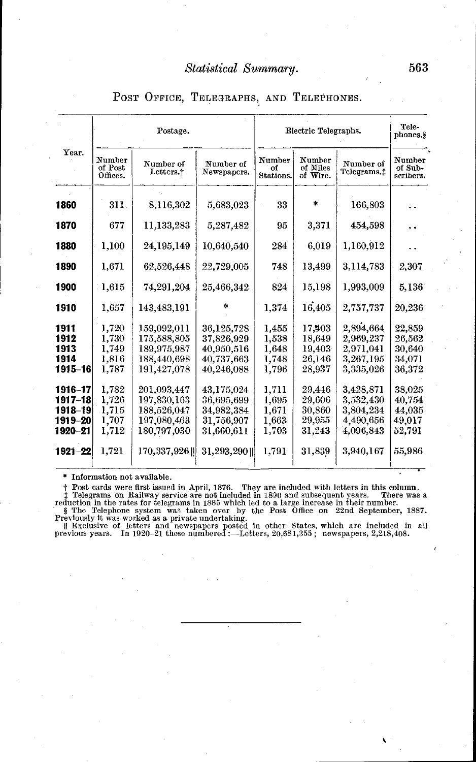### POST OFFICE, TELEGRAPHS, AND TELEPHONES.

| Year.                |                               | Postage.                                  |                                        |                           | Electric Telegraphs.           | Tele-<br>phones.§                   |                                |
|----------------------|-------------------------------|-------------------------------------------|----------------------------------------|---------------------------|--------------------------------|-------------------------------------|--------------------------------|
|                      | Number<br>of Post<br>Offices. | Number of<br>Letters. <sup>†</sup>        | Number of<br>Newspapers.               | Number<br>of<br>Stations. | Number<br>of Miles<br>of Wire. | Number of<br>Telegrams.t            | Number<br>of Sub-<br>scribers. |
| 1860                 | 311                           | 8,116,302                                 | 5,683,023                              | 33                        | *                              | 166,803                             |                                |
| 1870                 | 677                           | 11,133,283                                | 5,287,482                              | 95                        | 3,371                          | 454,598                             |                                |
| 1880                 | 1,100                         | 24,195,149                                | 10,640,540                             | 284                       | 6,019                          | 1,160,912                           |                                |
| 1890                 | 1,671                         | 62,526,448                                | 22,729,005                             | 748                       | 13,499                         | 3.114,783                           | 2,307                          |
| 1900                 | 1,615                         | 74.291.204                                | 25,466,342                             | 824                       | 15,198                         | 1.993,009                           | 5.136                          |
| 1910                 | 1,657                         | 143,483,191                               |                                        | 1,374                     | 16,405                         | 2,757,737                           | 20,236                         |
| 1911<br>1912<br>1913 | 1,720<br>1.730<br>1,749       | 159,092,011<br>175,588,805<br>189,975,987 | 36,125,728<br>37.826.929<br>40,950,516 | 1.455<br>1,538<br>1,648   | 17,403<br>18.649<br>19,403     | 2.894.664<br>2.969,237<br>2,971,041 | 22.859<br>26.562<br>30,640     |
| 1914<br>1915-16      | 1,816<br>1.787                | 188,440,698<br>191,427,078                | 40,737,663<br>40,246,088               | 1,748<br>1,796            | 26,146<br>28,937               | 3,267,195<br>3,335,026              | 34.071<br>36,372               |
| 1916–17<br>1917-18   | 1,782<br>1,726                | 201,093.447<br>197,830,163                | 43.175.024<br>36,695,699               | 1.711<br>1,695            | 29,446<br>29.606               | 3,428,871<br>3,532,430              | 38.025<br>40,754               |
| 1918-19<br>1919–20   | 1.715<br>1,707                | 188,526,047<br>197,080,463                | 34.982,384<br>31,756,907               | 1.671<br>1.663            | 30,860<br>29,955               | 3,804,234<br>4,490,656              | 44,035<br>49,017               |
| 1920-21              | 1,712                         | 180,797,030                               | 31,660,611                             | 1,703                     | 31,243                         | 4.096.843                           | 52,791                         |
| 1921–22              | 1.721                         | 170.337.926                               | 31,293,290                             | 1,791                     | 31,839                         | 3,940,167                           | 55.986                         |

† Post cards were first issued in April, 1876. They are included with letters in this column.<br>
† Telegrams on Railway service are not included in 1890 and subsequent years. There was a<br>
reduction in the rates for telegram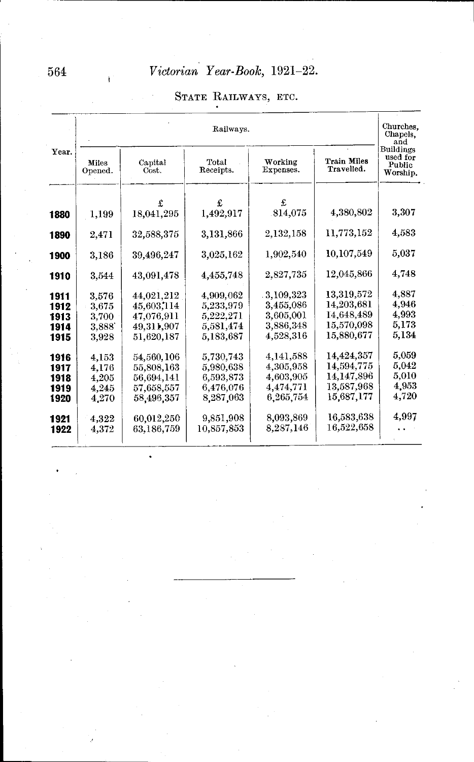|              |                          | Railways.                |                        |                        |                                  |                                             |  |  |  |  |  |
|--------------|--------------------------|--------------------------|------------------------|------------------------|----------------------------------|---------------------------------------------|--|--|--|--|--|
| Year.        | Miles<br>Opened.         | Capital<br>Cost.         | Total<br>Receipts.     | Working<br>Expenses.   | <b>Train Miles</b><br>Travelled. | Buildings<br>used for<br>Public<br>Worship. |  |  |  |  |  |
|              |                          | £                        | £                      | £                      | 4.380,802                        | 3.307                                       |  |  |  |  |  |
| 1880         | 1.199                    | 18.041.295               | 1,492,917              | 814,075                |                                  |                                             |  |  |  |  |  |
| 1890         | 2.471                    | 32,588,375               | 3,131,866              | 2,132,158              | 11.773.152                       | 4,583                                       |  |  |  |  |  |
| 1900         | 3.186                    | 39,496,247               | 3,025,162              | 1.902,540              | 10.107.549                       | $_{\rm 5.037}$                              |  |  |  |  |  |
| 1910         | 3,544                    | 43.091.478               | 4,455,748              | 2.827.735              | 12,045,866                       | 4,748                                       |  |  |  |  |  |
| 1911         | 3.576                    | 44.021.212               | 4.909.062              | 3,109,323              | 13,319,572                       | 4.887                                       |  |  |  |  |  |
| 1912         | 3,675                    | 45,603,114               | 5,233,979              | 3,455,086              | 14,203,681                       | 4,946                                       |  |  |  |  |  |
| 1913         | $3.700\,$                | 47,076,911               | 5,222,271              | 3,605,001              | 14.648.489                       | 4.993                                       |  |  |  |  |  |
| 1914<br>1915 | $3.888^{\circ}$<br>3.928 | 49,311,907<br>51,620,187 | 5,581,474<br>5,183,687 | 3,886,348<br>4,528,316 | 15.570.098<br>15,880,677         | 5,173<br>5,134                              |  |  |  |  |  |
| 1916         | 4,153                    | 54,560,106               | 5,730,743              | 4.141,588              | 14,424,357                       | 5,059                                       |  |  |  |  |  |
| 1917         | 4.176                    | 55,808,163               | 5,980,638              | 4.305.958              | 14.594,775                       | 5,042                                       |  |  |  |  |  |
| 1918         | 4,205                    | 56,694,141               | 6,593,873              | 4,603,905              | 14,147,896                       | 5,010                                       |  |  |  |  |  |
| 1919         | 4.245                    | 57,658,557               | 6,476,076              | 4,474,771              | 13.587,968                       | 4,953                                       |  |  |  |  |  |
| 1920         | 4,270                    | 58,496,357               | 8,287,063              | 6.265,754              | 15,687,177                       | 4.720                                       |  |  |  |  |  |
| 1921         | 4.322                    | 60,012,250               | 9,851,908              | 8,093,869              | 16.583.638                       | 4,997                                       |  |  |  |  |  |
| 1922         | 4,372                    | 63.186.759               | 10,857,853             | 8,287,146              | 16.522.658                       |                                             |  |  |  |  |  |

.

## STATE RAILWAYS, ETC.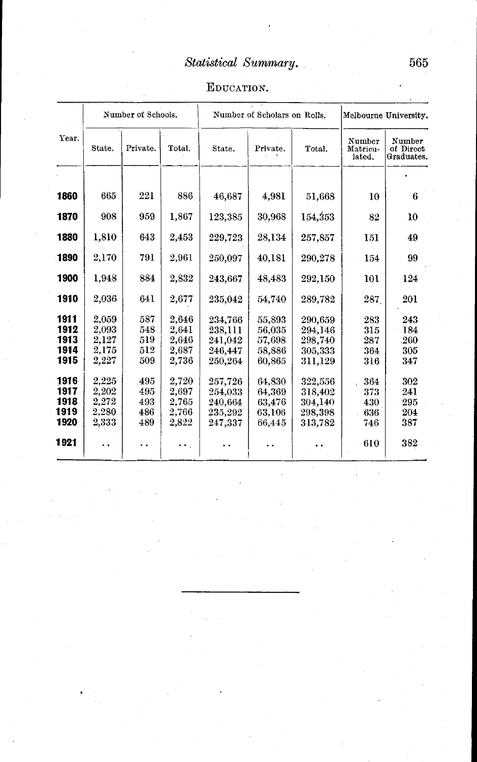## EDUCATION.

|                                      |                                           | Number of Schools.              |                                           |                                                     | Number of Scholars on Rolls.                   |                                                     | Melbourne University.           |                                   |  |
|--------------------------------------|-------------------------------------------|---------------------------------|-------------------------------------------|-----------------------------------------------------|------------------------------------------------|-----------------------------------------------------|---------------------------------|-----------------------------------|--|
| Year.                                | State.                                    | Private.                        | Total.                                    | State.                                              | Private.                                       | Total.                                              | Number<br>Matricu-<br>lated.    | Number<br>of Direct<br>Graduates. |  |
| 1860                                 | 665                                       | 221                             | 886                                       | 46,687                                              | 4,981                                          | 51,668                                              | 10                              | 6                                 |  |
| 1870                                 | 908                                       | 959                             | 1,867                                     | 123,385                                             | 30,968                                         | 154,353                                             | 82                              | 10                                |  |
| 1880                                 | 1,810                                     | 643                             | 2,453                                     | 229,723                                             | 28,134                                         | 257,857                                             | 151                             | 49                                |  |
| 1890                                 | 2,170                                     | 791                             | 2,961                                     | 250.097                                             | 40,181                                         | 290,278                                             | 154                             | 99                                |  |
| 1900                                 | 1,948                                     | 884                             | 2,832                                     | 243,667                                             | 48,483                                         | 292,150                                             | 101                             | 124                               |  |
| 1910                                 | 2,036                                     | 641                             | 2,677                                     | 235.042                                             | 54,740                                         | 289,782                                             | 287.                            | 201                               |  |
| 1911<br>1912<br>1913<br>1914<br>1915 | 2,059<br>2,093<br>2,127<br>2,175<br>2,227 | 587<br>548<br>519<br>512<br>509 | 2,646<br>2,641<br>2,646<br>2,687<br>2,736 | 234,766<br>238,111<br>241,042<br>246.447<br>250,264 | 55,893<br>56,035<br>57,698<br>58,886<br>60,865 | 290,659<br>294.146<br>298,740<br>305,333<br>311,129 | 283<br>315<br>287<br>364<br>316 | 243<br>184<br>.260<br>305<br>347  |  |
| 1916<br>1917<br>1918<br>1919<br>1920 | 2.225<br>2,202<br>2,272<br>2,280<br>2,333 | 495<br>495<br>493<br>486<br>489 | 2,720<br>2,697<br>2.765<br>2,766<br>2,822 | 257,726<br>254.033<br>240,664<br>235,292<br>247,337 | 64,830<br>64,369<br>63,476<br>63,106<br>66,445 | 322,556<br>318,402<br>304,140<br>298,398<br>313,782 | 364<br>373<br>430<br>636<br>746 | 302<br>241<br>295<br>204<br>387   |  |
| 1921                                 | . .                                       |                                 |                                           |                                                     |                                                |                                                     | 610                             | 382                               |  |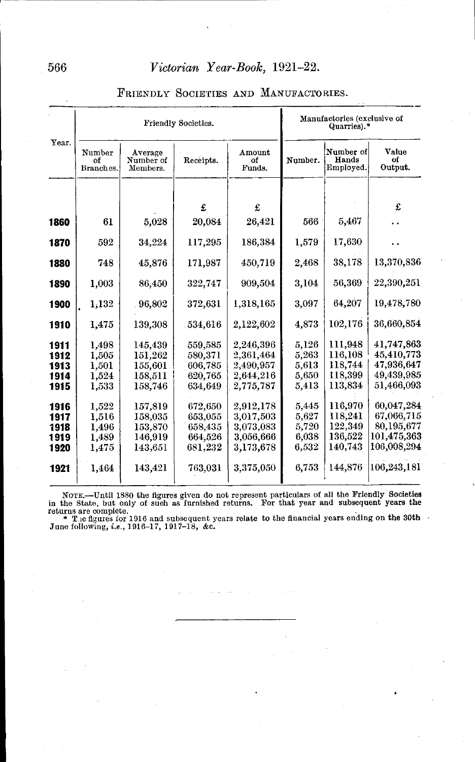|       |                           |                                  | Friendly Societies. |                        |         | Manufactories (exclusive of<br>Quarries).* |                        |
|-------|---------------------------|----------------------------------|---------------------|------------------------|---------|--------------------------------------------|------------------------|
| Year. | Number<br>of<br>Branches. | Average<br>Number of<br>Members. | Receipts.           | Amount<br>0f<br>Funds. | Number. | Number of<br>Hands<br>Employed.            | Value<br>of<br>Output. |
|       |                           |                                  | £                   | £                      |         |                                            | £                      |
| 1860  | 61                        | 5,028                            | 20,084              | 26,421                 | 566     | 5,467                                      |                        |
|       |                           |                                  |                     |                        |         |                                            |                        |
| 1870  | 592                       | 34,224                           | 117,295             | 186,384                | 1,579   | 17,630                                     |                        |
| 1880  | 748                       | 45,876                           | 171,987             | 450,719                | 2,468   | 38,178                                     | 13,370,836             |
| 1890  | 1,003                     | 86,450                           | 322,747             | 909,504                | 3,104   | 56,369                                     | 22,390,251             |
| 1900  | 1,132                     | 96,802                           | 372,631             | 1,318,165              | 3,097   | 64,207                                     | 19,478,780             |
| 1910  | 1.475                     | 139,308                          | 534,616             | 2,122,602              | 4,873   | 102,176                                    | 36,660,854             |
| 1911  | 1.498                     | 145,439                          | 559,585             | 2,246,396              | 5,126   | 111,948                                    | 41,747,863             |
| 1912  | 1,505                     | 151,262                          | 580,371             | 2,361,464              | 5,263   | 116,108                                    | 45,410,773             |
| 1913  | 1,501                     | 155,601                          | 606,785             | 2,490,957              | 5,613   | 118,744                                    | 47,936,647             |
| 1914  | 1,524                     | 158,511                          | 620,765             | 2,644,216              | 5,650   | 118,399                                    | 49,439,985             |
| 1915  | 1,533                     | 158,746                          | 634.649             | 2,775,787              | 5,413   | 113,834                                    | 51,466,093             |
| 1916  | 1,522                     | 157,819                          | 672,650             | 2.912.178              | 5.445   | 116,970                                    | 60.047.284             |
| 1917  | 1,516                     | 158,035                          | 653,055             | 3,017,503              | 5,627   | 118,241                                    | 67,066,715             |
| 1918  | 1,496                     | 153,870                          | 658.435             | 3.073.083              | 5,720   | 122.349                                    | 80,195,677             |
| 1919  | 1,489                     | 146,919                          | 664,526             | 3.056,666              | 6,038   | 136,522                                    | 101,475,363            |
| 1920  | 1,475                     | 143,651                          | 681,232             | 3,173,678              | 6,532   | 140,743                                    | 106,008,294            |
| 1921  | 1,464                     | 143,421                          | 763,031             | 3,375,050              | 6,753   | 144,876                                    | 106,243,181            |
|       |                           |                                  |                     |                        |         |                                            |                        |

#### FRIENDLY SOCIETIES AND MANUFACTORIES.

NOTE.—Until 1880 the figures given do not represent particulars of all the Friendly Societies<br>in the State, but only of such as furnished returns. For that year and subsequent years the<br>returns are complete.<br>\* T.e figures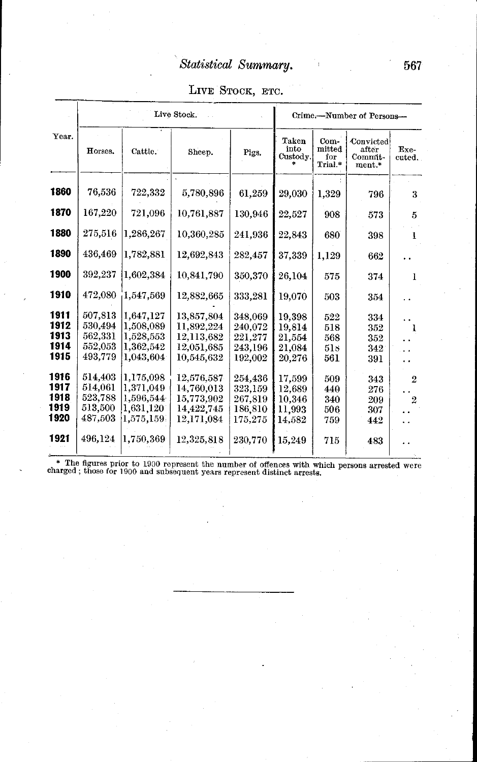|  | LIVE STOCK, ETC. |  |
|--|------------------|--|
|--|------------------|--|

| Year.                                |                                                     |                                                               | Live Stock.                                                        |                                                     |                                                |                                  | Crime.-Number of Persons-               |                                  |
|--------------------------------------|-----------------------------------------------------|---------------------------------------------------------------|--------------------------------------------------------------------|-----------------------------------------------------|------------------------------------------------|----------------------------------|-----------------------------------------|----------------------------------|
|                                      | Horses.                                             | Cattle.                                                       | Sheep.                                                             | Pigs.                                               | Taken<br>into<br>Custody.                      | Com-<br>mitted<br>fоr<br>Trial.* | Convicted<br>after<br>Commit-<br>ment.* | Exe-<br>cuted.                   |
| 1860                                 | 76,536                                              | 722,332                                                       | 5,780,896                                                          | 61,259                                              | 29,030                                         | 1,329                            | 796                                     | 3                                |
| 1870                                 | 167,220                                             | 721,096                                                       | 10.761,887                                                         | 130,946                                             | 22,527                                         | 908                              | 573                                     | 5                                |
| 1880                                 | 275,516                                             | 1.286.267                                                     | 10,360,285                                                         | 241,936                                             | 22,843                                         | 680                              | 398                                     | ļ.                               |
| 1890                                 | 436,469                                             | 1,782,881                                                     | 12,692,843                                                         | 282,457                                             | 37,339                                         | 1,129                            | 662                                     |                                  |
| 1900                                 | 392,237                                             | 1.602,384                                                     | 10,841,790                                                         | 350,370                                             | 26,104                                         | 575                              | 374                                     | 1                                |
| 1910                                 | 472,080                                             | 1,547,569                                                     | 12,882,665                                                         | 333,281                                             | 19,070                                         | 503                              | 354                                     |                                  |
| 1911<br>1912<br>1913<br>1914<br>1915 | 507.813<br>530,494<br>562,331<br>552,053<br>493,779 | 1,647,127<br>1,508,089<br>1.528,553<br>1,362,542<br>1.043.604 | 13,857,804<br>11,892,224<br>12,113,682<br>12,051,685<br>10.545.632 | 348,069<br>240,072<br>221,277<br>243,196<br>192,002 | 19.398<br>19,814<br>21,554<br>21,084<br>20.276 | 522<br>518<br>568<br>51s<br>561  | 334<br>352<br>352<br>342<br>391         | 1                                |
| 1916<br>1917<br>1918<br>1919<br>1920 | 514,403<br>514,061<br>523,788<br>513,500<br>487,503 | 1,175,098<br>1,371,049<br>1,596,544<br>1,631,120<br>1.575.159 | 12.576.587<br>14,760,013<br>15,773,902<br>14,422,745<br>12,171,084 | 254,436<br>323,159<br>267,819<br>186,810<br>175,275 | 17,599<br>12,689<br>10,346<br>11.993<br>14,582 | 509<br>440<br>340<br>506<br>759  | 343<br>276<br>209<br>307<br>442         | $\overline{2}$<br>$\overline{2}$ |
| 1921                                 | 496,124                                             | 1,750,369                                                     | 12,325,818                                                         | 230,770                                             | 15,249                                         | 715                              | 483                                     |                                  |

\* The figures prior to 1900 represent the number of offences with which persons arrested were charged; those for 1900 and subsequent years represent distinct arrests.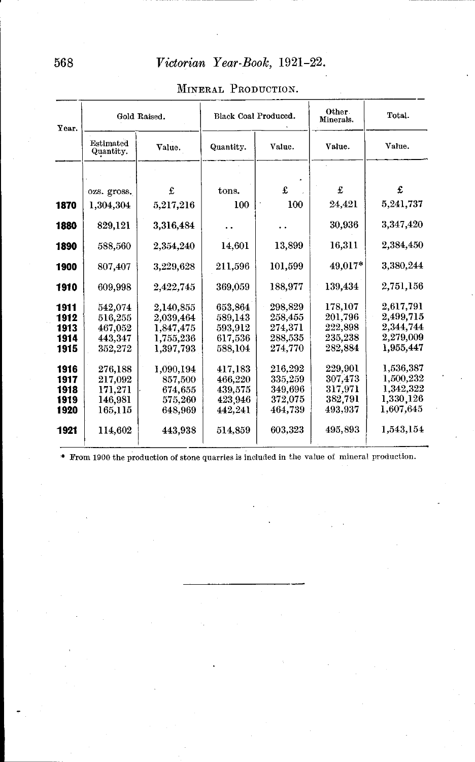| Year.        |                        | Gold Raised.           | Black Coal Produced. |                    | Other.<br>Minerals. | Total.                 |
|--------------|------------------------|------------------------|----------------------|--------------------|---------------------|------------------------|
|              | Estimated<br>Quantity. | Value.                 | Quantity.            | Value.             | Value.              | Value.                 |
|              |                        |                        |                      |                    |                     |                        |
|              | ozs. gross.            | £                      | tons.                | £                  | £                   | £                      |
| 1870         | 1,304,304              | 5,217,216              | 100                  | 100                | 24.421              | 5,241,737              |
| 1880         | 829,121                | 3,316,484              |                      |                    | 30,936              | 3,347,420              |
| 1890         | 588,560                | 2,354,240              | 14,601               | 13,899             | 16,311              | 2.384.450              |
| 1900         | 807,407                | 3,229,628              | 211.596              | 101,599            | 49,017*             | 3.380.244              |
| 1910         | 609,998                | 2,422,745              | 369,059              | 188,977            | 139,434             | 2,751,156              |
| 1911         | 542.074                | 2.140.855              | 653,864              | 298,829            | 178,107<br>201,796  | 2.617.791<br>2,499,715 |
| 1912<br>1913 | 516,255<br>467,052     | 2.039,464<br>1,847,475 | 589.143<br>593,912   | 258,455<br>274,371 | 222,898             | 2.344.744              |
| 1914         | 443,347                | 1,755,236              | 617,536              | 288,535            | 235,238             | 2,279,009              |
| 1915         | 352,272                | 1.397.793              | 588,104              | 274.770            | 282.884             | 1.955,447              |
| 1916         | 276.188                | 1.090.194              | 417,183              | 216.292            | 229.901             | 1.536.387              |
| 1917         | 217,092                | 857,500                | 466.220              | 335,259            | 307.473             | 1,500,232              |
| 1918         | 171,271                | 674,655                | 439,575              | 349.696            | 317.971             | 1,342,322              |
| 1919         | 146,981                | 575,260                | 423,946              | 372,075            | 382,791             | 1,330,126              |
| 1920         | 165.115                | 648,969                | 442.241              | 464,739            | 493,937             | 1,607,645              |
| 1921         | 114,602                | 443.938                | 514,859              | 603,323            | 495,893             | 1,543,154              |

#### MINERAL PRODUCTION.

\* From 1900 the production of stone quarries is included in the value of mineral production.

568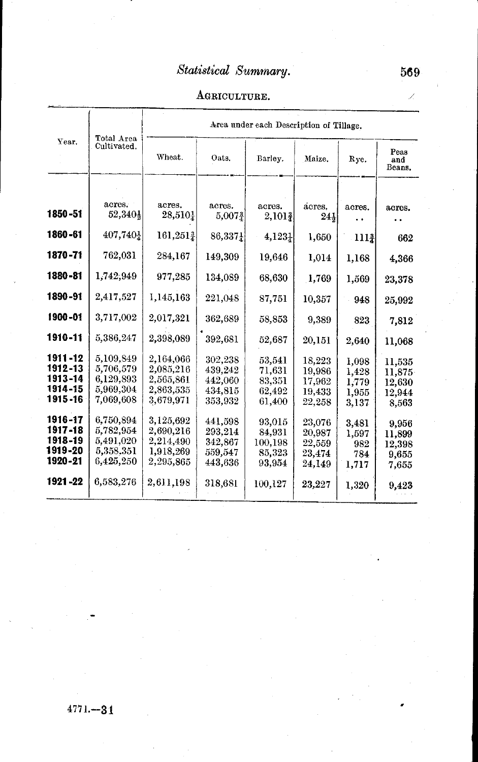## AGRICULTURE.

|                                                       | Total Area                                                    | Area under each Description of Tillage.                       |                                                     |                                                 |                                                |                                           |                                               |  |  |  |
|-------------------------------------------------------|---------------------------------------------------------------|---------------------------------------------------------------|-----------------------------------------------------|-------------------------------------------------|------------------------------------------------|-------------------------------------------|-----------------------------------------------|--|--|--|
| Year.                                                 | Cultivated.                                                   | Wheat.                                                        | Oats.                                               | Barley.                                         | Maize.                                         | Rye.                                      | Peas<br>and<br>Beans.                         |  |  |  |
|                                                       |                                                               |                                                               |                                                     |                                                 |                                                |                                           |                                               |  |  |  |
| 1850-51                                               | acres.<br>52,340}                                             | acres.<br>28,510}                                             | acres.<br>$5,007\frac{3}{4}$                        | acres.<br>$2,101\frac{3}{2}$                    | acres.<br>244                                  | acres.                                    | acres.                                        |  |  |  |
| 1860-61                                               | 407,740}                                                      | 161,2513                                                      | 86,3371                                             | $4,123\frac{1}{4}$                              | 1,650                                          | 1111                                      | 662                                           |  |  |  |
| 1870-71                                               | 762,031                                                       | 284,167                                                       | 149.309                                             | 19,646                                          | 1,014                                          | 1,168                                     | 4.366                                         |  |  |  |
| 1880-81                                               | 1,742,949                                                     | 977,285                                                       | 134,089                                             | 68,630                                          | 1,769                                          | 1,569                                     | 23,378                                        |  |  |  |
| 1890-91                                               | 2,417,527                                                     | 1,145,163                                                     | 221,048                                             | 87,751                                          | 10,357                                         | 948                                       | 25,992                                        |  |  |  |
| 1900-01                                               | 3,717,002                                                     | 2,017,321                                                     | 362,689                                             | 58,853                                          | 9,389                                          | 823                                       | 7,812                                         |  |  |  |
| 1910-11                                               | 5,386,247                                                     | 2,398,089                                                     | 392,681                                             | 52,687                                          | 20,151                                         | 2.640                                     | 11,068                                        |  |  |  |
| 1911-12<br>1912-13<br>1913-14<br>1914-15<br>1915 - 16 | 5,109,849<br>5,706,579<br>6,129,893<br>5,969,304<br>7,069,608 | 2.164,066<br>2,085,216<br>2.565.861<br>2,863,535<br>3,679,971 | 302,238<br>439.242<br>442,060<br>434,815<br>353,932 | 53,541<br>71,631<br>83.351<br>62,492<br>61,400  | 18,223<br>19.986<br>17,962<br>19,433<br>22,258 | 1,098<br>1,428<br>1,779<br>1,955<br>3.137 | 11,535<br>11,875<br>12,630<br>12,944<br>8.563 |  |  |  |
| 1916-17<br>1917-18<br>1918-19<br>1919-20<br>1920-21   | 6,750,894<br>5,782,954<br>5,491,020<br>5,358,351<br>6,425,250 | 3,125,692<br>2,690,216<br>2,214,490<br>1,918,269<br>2,295,865 | 441,598<br>293,214<br>342,867<br>559,547<br>443,636 | 93,015<br>84.931<br>100,198<br>85.323<br>93.954 | 23,076<br>20,987<br>22,559<br>23,474<br>24,149 | 3,481<br>1,597<br>982<br>784<br>1,717     | 9,956<br>11.899<br>12,398<br>9.655<br>7,655   |  |  |  |
| 1921-22                                               | 6,583,276                                                     | 2,611,198                                                     | 318,681                                             | 100,127                                         | 23,227                                         | 1,320                                     | 9,423                                         |  |  |  |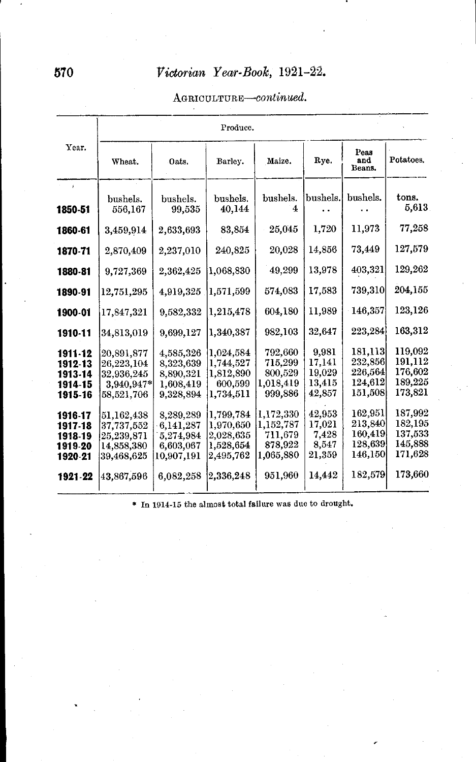#### AGRICULTURE-continued.

|         |                     |                    | Produce.           |               |          |                       |                    |  |  |  |
|---------|---------------------|--------------------|--------------------|---------------|----------|-----------------------|--------------------|--|--|--|
| Year.   | Wheat.              | Oats.              | Barley.            | Maize.        | Rye.     | Peas<br>and<br>Beans. | Potatoes.          |  |  |  |
|         |                     |                    |                    |               |          |                       |                    |  |  |  |
| 1850-51 | bushels.<br>556,167 | bushels.<br>99,535 | bushels.<br>40,144 | bushels.<br>4 | bushels. | bushels.              | tons.<br>5,613     |  |  |  |
| 1860-61 | 3,459,914           | 2,633,693          | 83,854             | 25,045        | 1,720    | 11,973                | 77,258             |  |  |  |
| 1870-71 | 2,870,409           | 2,237,010          | 240,825            | 20,028        | 14,856   | 73,449                | 127,579            |  |  |  |
| 1880-81 | 9,727,369           | 2,362,425          | 1,068,830          | 49,299        | 13,978   | 403,321               | 129,262            |  |  |  |
| 1890-91 | 12,751,295          | 4,919,325          | 1,571,599          | 574,083       | 17,583   | 739,310               | 204,155            |  |  |  |
| 1900-01 | 17,847,321          | 9,582,332          | 1,215,478          | 604,180       | 11,989   | 146,357               | 123,126            |  |  |  |
| 1910-11 | 34,813,019          | 9,699,127          | 1,340,387          | 982,103       | 32,647   | 223,284               | 163,312            |  |  |  |
| 1911-12 | 20,891,877          | 4,585,326          | 1,024,584          | 792,660       | 9,981    | 181,113               | 119,092            |  |  |  |
| 1912-13 | 26,223,104          | 8,323,639          | 1,744,527          | 715,299       | 17,141   | 232,856               | 191,112            |  |  |  |
| 1913-14 | 32,936,245          | 8,890,321          | 1,812,890          | 800,529       | 19,029   | 226,564               | 176,602<br>189,225 |  |  |  |
| 1914-15 | 3,940,947*          | 1,608,419          | 600,599            | 1,018,419     | 13,415   | 124,612<br>151,508    | 173,821            |  |  |  |
| 1915-16 | 58,521,706          | 9.328.894          | 1,734,511          | 999,886       | 42,857   |                       |                    |  |  |  |
| 1916-17 | 51.162.438          | 8,289,289          | 1.799.784          | 1,172,330     | 42,953   | 162,951               | 187,992            |  |  |  |
| 1917-18 | 37,737,552          | 6,141,287          | 1,970,650          | 1,152,787     | 17,021   | 213,840               | 182,195            |  |  |  |
| 1918-19 | 25.239.871          | 5,274,984          | 2,028,635          | 711.679       | 7,428    | 160,419               | 137,533            |  |  |  |
| 1919-20 | 14,858,380          | 6,603,067          | 1,528,654          | 878,922       | 8,547    | 128,639               | 145,888            |  |  |  |
| 1920-21 | 39,468,625          | 10.907.191         | 2,495,762          | 1,065,880     | 21,359   | 146,150               | 171,628            |  |  |  |
| 1921-22 | 43,867,596          | 6,082,258          | 2,336,248          | 951,960       | 14,442   | 182,579               | 173,660            |  |  |  |

\* In 1914-15 the almost total failure was due to drought.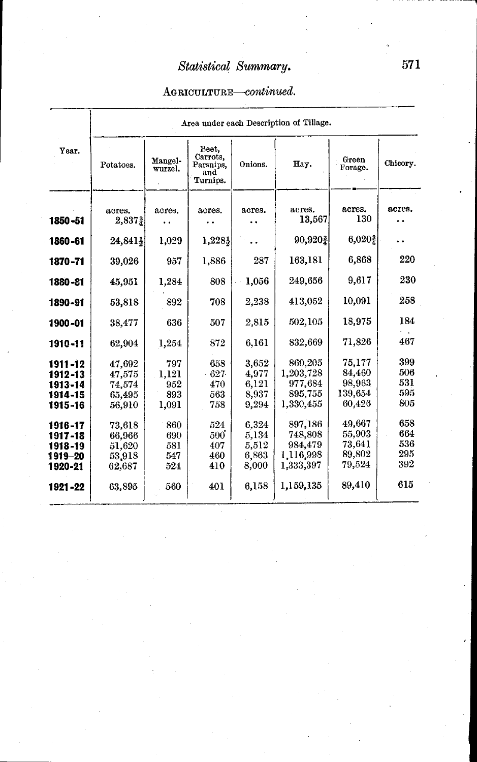### AGRICULTURE-continued.

| Year.                                               |                                                |                                     |                                                   |                                           | Area under each Description of Tillage.                 |                                                 |                                 |
|-----------------------------------------------------|------------------------------------------------|-------------------------------------|---------------------------------------------------|-------------------------------------------|---------------------------------------------------------|-------------------------------------------------|---------------------------------|
|                                                     | Potatoes.                                      | Mangel-<br>wurzel.                  | Beet.<br>Carrots,<br>Parsnips.<br>and<br>Turnips. | Onions.                                   | Hay.                                                    | Green<br>Forage.                                | Chicory.                        |
| 1850-51                                             | acres.<br>2,8372                               | acres.                              | acres.                                            | acres.                                    | acres.<br>13,567                                        | acres.<br>130                                   | acres.<br>. .                   |
| 1860-61                                             | 24,841}                                        | 1,029                               | $1,228\}$                                         |                                           | 90,9202                                                 | 6,020}                                          |                                 |
| 1870-71                                             | 39,026                                         | 957                                 | 1,886                                             | 287                                       | 163,181                                                 | 6.868                                           | 220                             |
| 1880-81                                             | 45,951                                         | 1,284                               | 808                                               | 1,056                                     | 249.656                                                 | 9,617                                           | 230                             |
| 1890-91                                             | 53,818                                         | 892                                 | 708                                               | 2.238                                     | 413,052                                                 | 10.091                                          | 258                             |
| 1900-01                                             | 38,477                                         | 636                                 | 507                                               | 2,815                                     | 502.105                                                 | 18.975                                          | 184                             |
| 1910-11                                             | 62,904                                         | 1.254                               | 872                                               | 6.161                                     | 832,669                                                 | 71.826                                          | 467                             |
| 1911-12<br>1912-13<br>1913-14<br>1914-15<br>1915-16 | 47,692<br>47,575<br>74.574<br>65,495<br>56,910 | 797<br>1.121<br>952<br>893<br>1,091 | 658<br>627<br>470<br>563<br>758                   | 3,652<br>4,977<br>6,121<br>8,937<br>9,294 | 860.205<br>1,203,728<br>977.684<br>895,755<br>1,330,455 | 75.177<br>84.460<br>98,963<br>139.654<br>60,426 | 399<br>506<br>531<br>595<br>805 |
| 1916-17<br>1917-18<br>1918-19<br>1919-20<br>1920-21 | 73,618<br>66,966<br>51,620<br>53,918<br>62.687 | 860<br>690<br>581<br>547<br>524     | 524<br>500<br>407<br>460<br>410                   | 6,324<br>5,134<br>5,512<br>6,863<br>8,000 | 897,186<br>748,808<br>984,479<br>1.116.998<br>1,333,397 | 49,667<br>55,903<br>73,641<br>89,802<br>79,524  | 658<br>664<br>536<br>295<br>392 |
| 1921-22                                             | 63,895                                         | 560                                 | 401                                               | 6,158                                     | 1,159,135                                               | 89,410                                          | 615                             |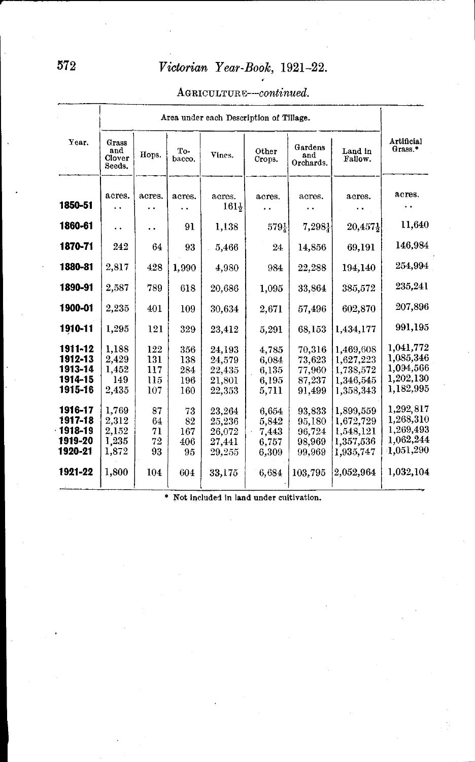#### *AGRICULTURE--continued.*

|                                                     |                                           |                                 |                                 | Area under each Description of Tillage.        |                                           |                                                |                                                               |                                                               |  |
|-----------------------------------------------------|-------------------------------------------|---------------------------------|---------------------------------|------------------------------------------------|-------------------------------------------|------------------------------------------------|---------------------------------------------------------------|---------------------------------------------------------------|--|
| Year.                                               | Grass<br>and<br>Clover<br>Seeds.          | Hops.                           | To-<br>bacco.                   | Vines.                                         | Other<br>Crops.                           | Gardens<br>and<br>Orchards.                    | Land in<br>Fallow.                                            | Artificial<br>Grass.*                                         |  |
| 1850-51                                             | acres.                                    | acres.                          | acres.                          | acres.<br>1611                                 | acres.                                    | acres.                                         | acres.                                                        | acres.<br>. .                                                 |  |
| 1860-61                                             | . .                                       | . .                             | 91                              | 1.138                                          | 5791                                      | 7,2981                                         | 20.4571                                                       | 11,640                                                        |  |
| 1870-71                                             | 242                                       | 64                              | 93                              | 5,466                                          | 24                                        | 14,856                                         | 69,191                                                        | 146,984                                                       |  |
| 1880-81                                             | 2,817                                     | 428                             | 1,990                           | 4,980                                          | 984                                       | 22.288                                         | 194,140                                                       | 254,994                                                       |  |
| 1890-91                                             | 2,587                                     | 789                             | 618                             | 20.686                                         | 1,095                                     | 33,864                                         | 385,572                                                       | 235,241                                                       |  |
| 1900-01                                             | 2,235                                     | 401                             | 109                             | 30.634                                         | 2.671                                     | 57,496                                         | 602,870                                                       | 207,896                                                       |  |
| 1910-11                                             | 1,295                                     | 121                             | 329                             | 23,412                                         | 5,291                                     | 68,153                                         | 1.434.177                                                     | 991,195                                                       |  |
| 1911-12<br>1912-13<br>1913-14<br>1914-15<br>1915-16 | 1,188<br>2,429<br>1.452<br>149<br>2,435   | 122<br>131<br>117<br>115<br>107 | 356<br>138<br>284<br>196<br>160 | 24.193<br>24,579<br>22,435<br>21.801<br>22,353 | 4.785<br>6,084<br>6.135<br>6.195<br>5,711 | 70,316<br>73,623<br>77,960<br>87,237<br>91.499 | 1,469,608<br>1.627,223<br>1,738,572<br>1.346,545<br>1,358,343 | 1,041,772<br>1.085.346<br>1,094,566<br>1,202,130<br>1,182,995 |  |
| 1916-17<br>1917-18<br>1918-19<br>1919-20<br>1920-21 | 1,769<br>2,312<br>2,152<br>1,235<br>1,872 | 87<br>64<br>71<br>72<br>93      | 73<br>82<br>167<br>406<br>95    | 23.264<br>25,236<br>26,072<br>27.441<br>29,255 | 6.654<br>5.842<br>7,443<br>6.757<br>6.309 | 93.833<br>95,180<br>96.724<br>98.969<br>99.969 | 1,899,559<br>1.672.729<br>1,548,121<br>1,357,536<br>1.935.747 | 1,292,817<br>1,268,310<br>1.269,493<br>1,062,244<br>1.051,290 |  |
| 1921-22                                             | 1,800                                     | 104                             | 604                             | 33,175                                         | 6,684                                     | 103.795                                        | 2.052.964                                                     | 1,032,104                                                     |  |

• Not included in land under cultivation.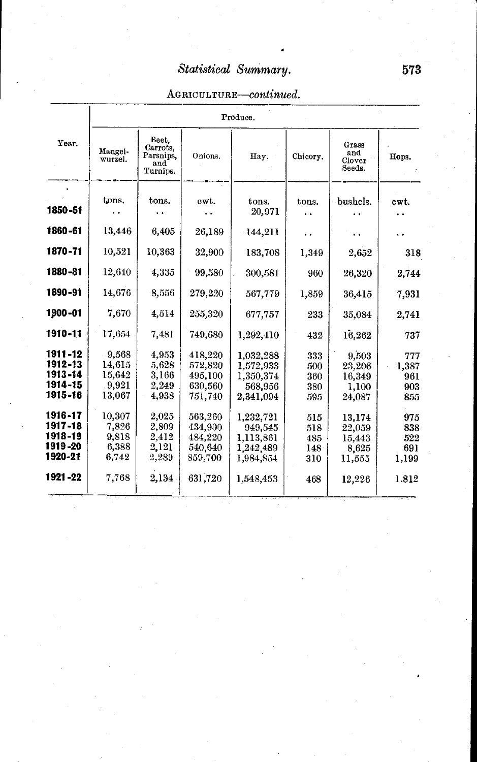### *AGRICULTURE-continued.*

|         |                    | Produce.                                          |         |           |          |                                  |       |  |  |  |
|---------|--------------------|---------------------------------------------------|---------|-----------|----------|----------------------------------|-------|--|--|--|
| Year.   | Mangel-<br>wurzel. | Beet.<br>Carrots.<br>Parsnips.<br>and<br>Turnips. | Onions. | Hay.      | Chicory. | Grass<br>and<br>Clover<br>Seeds. | Hops. |  |  |  |
|         | tons.              | tons.                                             | cwt.    | tons.     | tons.    | bushels.                         | cwt.  |  |  |  |
| 1850-51 |                    |                                                   |         | 20,971    |          |                                  |       |  |  |  |
| 1860-61 | 13,446             | 6,405                                             | 26,189  | 144,211   | . .      |                                  |       |  |  |  |
| 1870-71 | 10,521             | 10,363                                            | 32,900  | 183,708   | 1,349    | 2,652                            | 318   |  |  |  |
| 1880-81 | 12,640             | 4.335                                             | 99,580  | 300,581   | 960      | 26,320                           | 2,744 |  |  |  |
| 1890-91 | 14,676             | 8,556                                             | 279,220 | 567,779   | 1,859    | 36,415                           | 7,931 |  |  |  |
| 1900-01 | 7.670              | 4,514                                             | 255,320 | 677,757   | 233      | 35,084                           | 2,741 |  |  |  |
| 1910-11 | 17,654             | 7.481                                             | 749,680 | 1,292,410 | 432      | 16,262                           | 737   |  |  |  |
| 1911-12 | 9,568              | 4,953                                             | 418,220 | 1,032,288 | 333      | 9.503                            | 777   |  |  |  |
| 1912-13 | 14.615             | 5,628                                             | 572.820 | 1,572,933 | 500      | 23,206                           | 1,387 |  |  |  |
| 1913-14 | 15.642             | 3.166                                             | 495,100 | 1,350,374 | 360      | 16,349                           | 961   |  |  |  |
| 1914-15 | .9.921             | 2.249                                             | 630,560 | 568,956   | 380      | 1,100                            | 903   |  |  |  |
| 1915-16 | 13,067             | 4,938                                             | 751,740 | 2,341,094 | 595      | 24,087                           | 855   |  |  |  |
| 1916-17 | 10,307             | 2,025                                             | 563,260 | 1,232,721 | 515      | 13,174                           | 975   |  |  |  |
| 1917-18 | 7,826              | 2,809                                             | 434,900 | 949,545   | 518      | 22,059                           | 838   |  |  |  |
| 1918-19 | 9,818              | 2,412                                             | 484,220 | 1,113,861 | 485      | 15,443                           | 522   |  |  |  |
| 1919-20 | 6,388              | 2,121                                             | 540,640 | 1,242,489 | 148      | 8,625                            | 691   |  |  |  |
| 1920-21 | 6,742              | 2,289                                             | 859,700 | 1,984,854 | 310      | 11,555                           | 1,199 |  |  |  |
| 1921-22 | 7,768              | 2,134                                             | 631,720 | 1,548,453 | 468      | 12,226                           | 1.812 |  |  |  |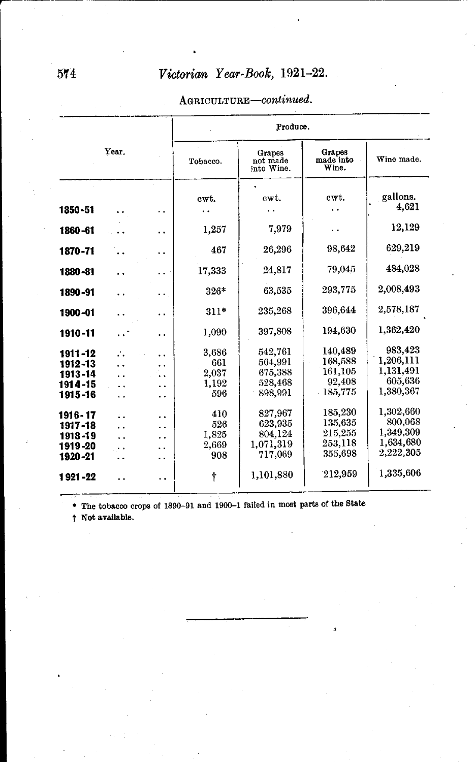#### AGRICULTURE-continued.

|                                                       |                      |                      |                                       | Produce.                                              |                                                      |                                                             |  |  |  |  |
|-------------------------------------------------------|----------------------|----------------------|---------------------------------------|-------------------------------------------------------|------------------------------------------------------|-------------------------------------------------------------|--|--|--|--|
|                                                       | Year.                |                      | Tobacco.                              | Grapes<br>not made<br>into Wine.                      | Grapes<br>made into<br>Wine.                         | Wine made.                                                  |  |  |  |  |
| 1850-51                                               |                      | . .                  | cwt.                                  | cwt.                                                  | cwt.                                                 | gallons.<br>4.621                                           |  |  |  |  |
| 1860-61                                               |                      | . .                  | 1,257                                 | 7,979                                                 | . .                                                  | 12,129                                                      |  |  |  |  |
| 1870-71                                               |                      | . .                  | 467                                   | 26,296                                                | 98,642                                               | 629,219                                                     |  |  |  |  |
| 1880-81                                               |                      | . .                  | 17,333                                | 24.817                                                | 79.045                                               | 484,028                                                     |  |  |  |  |
| 1890-91                                               |                      | . .                  | $326*$                                | 63,535                                                | 293,775                                              | 2,008,493                                                   |  |  |  |  |
| 1900-01                                               |                      | . .                  | $311*$                                | 235,268                                               | 396.644                                              | 2,578,187                                                   |  |  |  |  |
| 1910-11                                               | $\ddot{\phantom{a}}$ | $\ddot{\phantom{0}}$ | 1,090                                 | 397,808                                               | 194,630                                              | 1,362,420                                                   |  |  |  |  |
| 1911-12<br>1912-13<br>1913-14<br>1914-15<br>1915-16   | ∴<br>. .             |                      | 3,686<br>661<br>2,037<br>1,192<br>596 | 542,761<br>564,991<br>675,388<br>528,468<br>898.991   | 140,489<br>168,588<br>161,105<br>92,408<br>- 185,775 | 983.423<br>1.206.111<br>1,131,491<br>605,636<br>1,380,367   |  |  |  |  |
| 1916 - 17<br>1917-18<br>1918-19<br>1919-20<br>1920-21 | ٠.<br>. .            | . .<br>. .           | 410<br>526<br>1,825<br>2,669<br>908   | 827.967<br>623,935<br>804,124<br>1.071,319<br>717.069 | 185,230<br>135,635<br>215,255<br>253,118<br>355,698  | 1,302,660<br>800,068<br>1,349,309<br>1,634,680<br>2,222,305 |  |  |  |  |
| 1921-22                                               |                      | . .                  | t                                     | 1,101,880                                             | 212,959                                              | 1,335,606                                                   |  |  |  |  |

\* The tobacco crops of 1890-91 and 1900-1 failed in most parts of the State

t Not available.

,.---~---------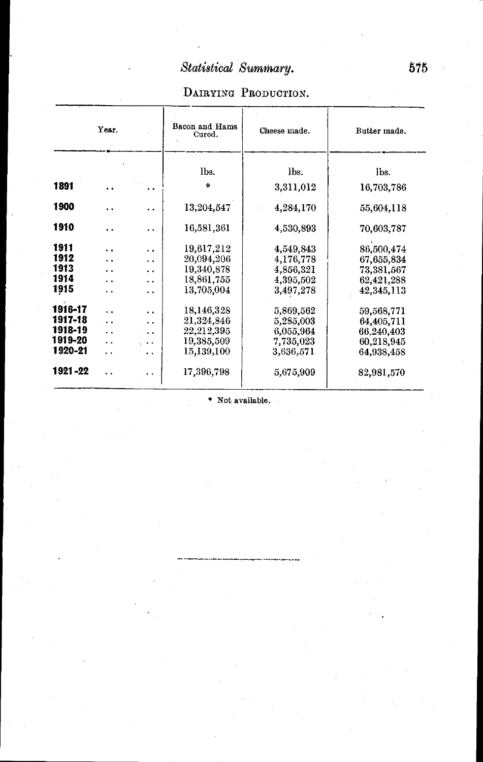## DAIRYING PRODUCTION.

|         | Year.                |     | Bacon and Hams<br>Cured. | Cheese made. | Butter made. |
|---------|----------------------|-----|--------------------------|--------------|--------------|
|         |                      |     | lbs.                     | lbs.         | lbs.         |
| 1891    | . .                  | . . | $\ast$                   | 3,311,012    | 16,703,786   |
| 1900    |                      | . . | 13,204,547               | 4,284,170    | 55,604,118   |
| 1910    | $\ddot{\phantom{0}}$ | . . | 16,581,361               | 4,530,893    | 70,603,787   |
| 1911    |                      | . . | 19.617.212               | 4,549,843    | 86.500.474   |
| 1912    | . .                  | . . | 20,094,206               | 4,176,778    | 67,655,834   |
| 1913    |                      | . . | 19,340,878               | 4,856,321    | 73,381,567   |
| 1914    |                      | . . | 18,861,755               | 4,395,502    | 62,421,288   |
| 1915    |                      | ۰.  | 13,705,004               | 3,497,278    | 42,345,113   |
| 1916-17 |                      | . . | 18,146,328               | 5,869.562    | 59,568,771   |
| 1917-18 | $\ddot{\phantom{0}}$ | . . | 21,324,846               | 5,285,003    | 64,405,711   |
| 1918-19 | $\ddot{\phantom{0}}$ |     | 22,212,395               | 6,055,964    | 66.240.403   |
| 1919-20 | . .                  |     | 19,385,509               | 7,735,023    | 60,218,945   |
| 1920-21 | $\ddot{\phantom{0}}$ | . . | 15,139,100               | 3,636,571    | 64,938,458   |
| 1921-22 | $\ddot{\phantom{0}}$ |     | 17,396,798               | 5,675,909    | 82,981,570   |

• Not available.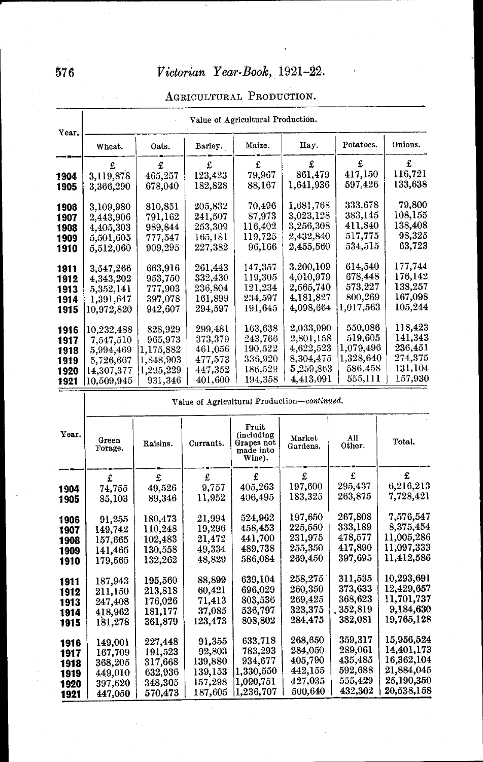| AGRICULTURAL PRODUCTION. |
|--------------------------|
|                          |

| Year. | Value of Agricultural Production. |                 |         |             |           |           |             |  |  |  |
|-------|-----------------------------------|-----------------|---------|-------------|-----------|-----------|-------------|--|--|--|
|       | Wheat.                            | Oats.           | Barley. | Maize.      | Eay.      | Potatoes. | Onions.     |  |  |  |
|       |                                   | £.              | £       | £           | £         | £         | £           |  |  |  |
| 1904  | 3,119,878                         | 465,257         | 123,423 | 79.967      | 861,479   | 417,150   | 116,721     |  |  |  |
| 1905  | 3,366,290                         | 678,040         | 182,828 | 88,167      | 1,641,936 | 597,426   | 133,638     |  |  |  |
| 1906  | 3,109,980                         | 810.851         | 205.832 | 70.496      | 1,681,768 | 333.678   | 79,800      |  |  |  |
| 1907  | 2,443,906                         | 791.162         | 241,507 | 87,973      | 3,023,128 | 383,145   | $108{,}155$ |  |  |  |
| 1908  | 4,405,303                         | 989,844         | 253,309 | 116.402     | 3,256,308 | 411,840   | 138,408     |  |  |  |
| 1909  | 5,501,605                         | 777.547         | 165,181 | 119.725     | 2,432,840 | 517,775   | 98,325      |  |  |  |
| 1910  | 5,512,060                         | 909,295         | 227.382 | 96,166      | 2,455,560 | 534,515   | 63,723      |  |  |  |
| 1911  | 3,547,266                         | 663.916         | 261.443 | 147.357     | 3,200,109 | 614,540   | 177.744     |  |  |  |
| 1912  | 4,343,202                         | 953,750         | 332,430 | 119,305     | 4,010,979 | 678,448   | 176,142     |  |  |  |
| 1913  | 5,352,141                         | 777,903         | 236.804 | 121,234     | 2,565,740 | 573,227   | 138,257     |  |  |  |
| 1914  | 1,391,647                         | 397,078         | 161,899 | 234,597     | 4,181,827 | 800,269   | 167,098     |  |  |  |
| 1915  | 10,972,820                        | 942,607         | 294,597 | 191,645     | 4,098,664 | 1,017,563 | 105,244     |  |  |  |
| 1916  | 10,232,488                        | 828.929         | 299.481 | 163.638     | 2,033,990 | 550,086   | 118.423     |  |  |  |
| 1917  | 7.547.510                         | 965,973         | 373,379 | 243,766     | 2,801,158 | 519.605   | 141,343     |  |  |  |
| 1918  | 5,994,469                         | $1,\!175,\!882$ | 461,056 | $190{,}522$ | 4,622,523 | 1,079,496 | 236,451     |  |  |  |
| 1919  | 5,726,667                         | 1.848.903       | 477,573 | 336.920     | 8,304,475 | 1,328,640 | 274,375     |  |  |  |
| 1920  | $14,\!307,\!377$                  | 1.295.229       | 447,352 | 186.529     | 5,259,863 | 586,458   | 131,104     |  |  |  |
| 1921  | 10,509,945                        | 931,346         | 401,600 | 194.358     | 4,413,091 | 555.111   | 157.930     |  |  |  |

|              | Value of Agricultural Production-continued. |                    |                    |                                                          |                    |               |            |  |  |  |
|--------------|---------------------------------------------|--------------------|--------------------|----------------------------------------------------------|--------------------|---------------|------------|--|--|--|
| Yеаг.        | Green<br>Forage.                            | Raisins.           | Currants.          | Fruit<br>(including<br>Grapes not<br>made into<br>Wine). | Market<br>Gardens. | All<br>Other. | Total.     |  |  |  |
|              | £                                           | £                  | £                  | £                                                        | £                  | £             | £.         |  |  |  |
| 1904         | 74.755                                      | 49,526             | 9,757              | 405,263                                                  | 197,600            | 295,437       | 6,216,213  |  |  |  |
| 1905         | 85,103                                      | 89,346             | 11,952             | 406,495                                                  | 183,325            | 263,875       | 7,728,421  |  |  |  |
|              |                                             | 180,473            | 21,994             | 524,962                                                  | 197,650            | 267,808       | 7,576,547  |  |  |  |
| 1906<br>1907 | 91,255<br>149,742                           | 110.248            | 19,296             | 458,453                                                  | 225,550            | 333,189       | 8,375,454  |  |  |  |
| 1908         | 157,665                                     | 102,483            | 21.472             | 441,700                                                  | 231,975            | 478.577       | 11,005,286 |  |  |  |
| 1909         | 141,465                                     | 130.558            | 49.334             | 489,738                                                  | 255,350            | 417,890       | 11,097,333 |  |  |  |
| 1910         | 179,565                                     | 132,262            | 48,829             | 586,084                                                  | 269.450            | 397,695       | 11,412,586 |  |  |  |
|              |                                             |                    | 88,899             | 639,104                                                  | 258,275            | 311,535       | 10,293,691 |  |  |  |
| 1911         | 187,943                                     | 195,560            | 60,421             | 696,029                                                  | 260,350            | 373.633       | 12,429,657 |  |  |  |
| 1912         | 211,150                                     | 213,818<br>176,026 | 71,413             | 803,536                                                  | 269,425            | 368,623       | 11,701,737 |  |  |  |
| 1913         | 247,408<br>418,962                          | 181,177            | 37,085             | 536.797                                                  | 323,375            | 352,819       | 9,184,630  |  |  |  |
| 1914<br>1915 | 181,278                                     | 361.879            | 123,473            | 808,802                                                  | 284,475            | 382.081       | 19,765,128 |  |  |  |
|              |                                             |                    |                    | 633,718                                                  | 268,650            | 359,317       | 15,956,524 |  |  |  |
| 1916         | 149.001                                     | 227,448            | 91.355             | 783,293                                                  | 284,050            | 289,061       | 14,401,173 |  |  |  |
| 1917         | 167,709                                     | 191,523            | 92,803             | 934,677                                                  | 405,790            | 435,485       | 16,362,104 |  |  |  |
| 1918         | 368,205                                     | 317,668            | 139,880<br>139,153 | 1,330,550                                                | 442,155            | 592,688       | 21,884,045 |  |  |  |
| 1919         | 449,010                                     | 632,936            | 157,298            | 1,090,751                                                | 427,035            | 555,429       | 25,190,350 |  |  |  |
| 1920         | 397,620                                     | 348,305<br>570,473 | 187,605            | 1,236,707                                                | 500,640            | 432,302       | 20,538,158 |  |  |  |
| 1921         | 447,050                                     |                    |                    |                                                          |                    |               |            |  |  |  |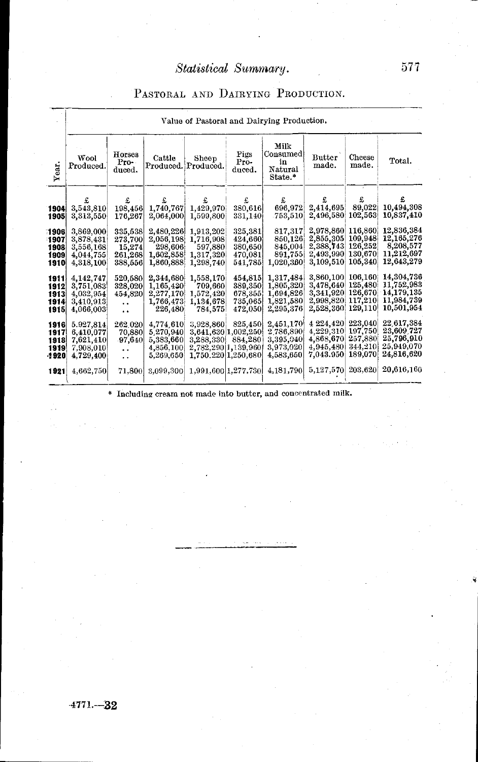#### PASTORAL AND DAIRYING PRODUCTION.

|                                       | Value of Pastoral and Dairying Production.                    |                                                                               |                                                               |                                                                                             |                                                     |                                                               |                                                               |                                                     |                                                                    |  |
|---------------------------------------|---------------------------------------------------------------|-------------------------------------------------------------------------------|---------------------------------------------------------------|---------------------------------------------------------------------------------------------|-----------------------------------------------------|---------------------------------------------------------------|---------------------------------------------------------------|-----------------------------------------------------|--------------------------------------------------------------------|--|
| Year.                                 | Wool<br>Produced.                                             | Horses<br>Pro-<br>duced.                                                      | Cattle                                                        | Sheep<br>Produced. Produced.                                                                | Pigs<br>Pro-<br>duced.                              | Milk<br>Consumed)<br>in<br>Natural<br>State.*                 | Butter<br>made.                                               | Cheese<br>made.                                     | Total.                                                             |  |
| 1904<br>1905                          | £<br>3,543,810<br>3,313,550                                   | £<br>198,456<br>176,267                                                       | £<br>1,740,767<br>2,064,000                                   | £<br>1,429,970<br>1,599,800                                                                 | £<br>380,616<br>331,140                             | £<br>696,972<br>753,510                                       | £<br>2,414,695<br>2.496.580                                   | £<br>89,022<br>102,563                              | £<br>10,494,308<br>10,837,410                                      |  |
| 1906<br>1907<br>1908<br>1909<br>1910  | 3,869,000<br>3,878,431<br>3,556,168<br>4,044,755<br>4,318,100 | 335,538<br>273,700<br>15,274<br>261,268<br>388,556                            | 2,480,226<br>2,056,198<br>298,606<br>1,602,858<br>1,860,888   | 1,913,202<br>1,716,908<br>597,880<br>1,317,320<br>1,298,740                                 | 325,381<br>424,660<br>380,650<br>470,081<br>541,785 | 817,317<br>850,126<br>845,004<br>891,755<br>1,020,360         | 2,978,860<br>2,855,305<br>2,388,743<br>2,493,990<br>3,109,510 | 116,860<br>109,948<br>126,252<br>130,670<br>105,340 | 12,836,384<br>12,165,276<br>8,208,577<br>11,212,697<br>12,643,279  |  |
| 1911<br>1912<br>1913<br>1914<br>1915  | 4,142,747<br>3,751,083<br>4,032,954<br>3,410,913<br>4,066,003 | 520,580<br>328,020<br>454,820<br>$\ddot{\phantom{0}}$<br>$\ddot{\phantom{a}}$ | 2,344,680<br>1,165,430<br>2,277,170<br>1,766,473<br>226,480   | 1,558,170<br>709,660<br>1,572,420<br>1,134,678<br>784,575                                   | 454,815<br>389,350<br>678,355<br>735,065<br>472,050 | 1,317,484<br>1,805,320<br>1,694,826<br>1,821,580<br>2,295,376 | 3,860,100<br>3,478,640<br>3,341,920<br>2.998.820<br>2,528,360 | 106,160<br>125,480<br>126,670<br>117,210<br>129,110 | 14,304,736<br>11,752,983<br>14,179,135<br>11,984,739<br>10,501,954 |  |
| 1916<br>1917<br>1918<br>1919<br>-1920 | 5.927,814<br>6,410,077<br>7,621,410<br>7,908,010<br>4,729,400 | 262.020<br>70,880<br>97,640<br>٠.<br>$\ddot{\phantom{0}}$                     | 4,774.610<br>5,270,940<br>5,383,660<br>4,856,100<br>5,269,650 | 3.928.860<br>3,641,630 1,002,250<br>3,288,330<br>2,782,290 1,139,960<br>1,750,220 1,250,680 | 825.450<br>884,280                                  | 2,451,170<br>2,786,890<br>3,395,040<br>3,973,020<br>4,583,650 | 4 224 420<br>4.229.310<br>4,868,670<br>4,945,480<br>7.043.950 | 223,040<br>197,750<br>257,880<br>344,210<br>189,070 | 22.617,384<br>23,609.727<br>25,796,910<br>25,949,070<br>24,816,620 |  |
| 1921                                  | 4,662,750                                                     | 71,800                                                                        | 3,099,300                                                     | 1,991,600 1,277,730                                                                         |                                                     | 4,181,790                                                     | 5,127,570 203,620                                             |                                                     | 20.616.160                                                         |  |

\* Including cream not made into butter, and concentrated milk.

 $-4771 - -32$